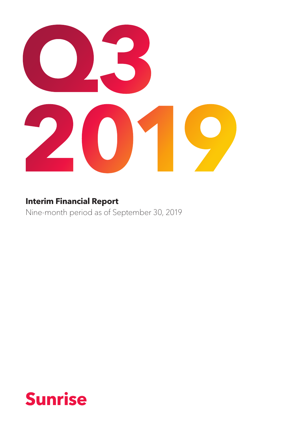

## **Interim Financial Report**

Nine-month period as of September 30, 2019

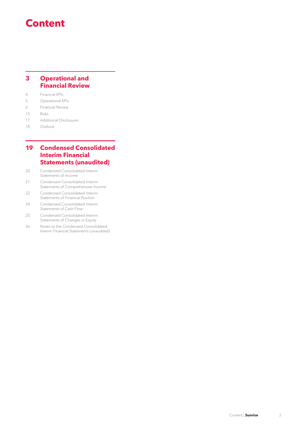## **Content**

## **3 [Operational and](#page-2-0)  [Financial Review](#page-2-0)**

4 [Financial KPIs](#page-3-0)

- 5 [Operational KPIs](#page-4-0)
- 6 [Financial Review](#page-5-0)
- 15 [Risks](#page-14-0)
- 17 [Additional Disclosures](#page-16-0)
- 18 [Outlook](#page-17-0)

## **19 [Condensed Consolidated](#page-18-0) [Interim Financial](#page-18-0)  [Statements \(unaudited\)](#page-18-0)**

- 20 [Condensed Consolidated Interim](#page-19-0)  [Statements of](#page-19-0) Income
- 21 [Condensed Consolidated Interim](#page-20-0)  [Statements of Comprehensive Income](#page-20-0)
- 22 Condensed Consolidated Interim [Statements of Financial Position](#page-21-0)
- 24 [Condensed Consolidated Interim](#page-23-0)  [Statements of](#page-23-0) Cash Flow
- 25 [Condensed Consolidated Interim](#page-24-0)  [Statements of](#page-24-0) Changes in Equity
- 26 [Notes to the Condensed Consolidated](#page-25-0)  Interim Financial [Statements \(unaudited\)](#page-25-0)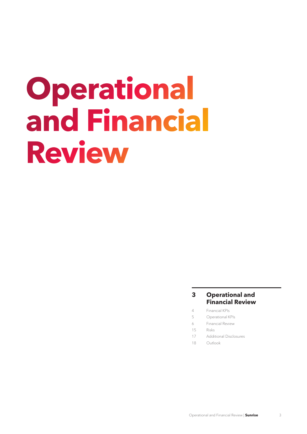# <span id="page-2-0"></span>**Operational and Financial Review**

## **3 Operational and Financial Review**

- 4 [Financial KPIs](#page-3-0)
- 5 [Operational KPIs](#page-4-0)
- 6 [Financial Review](#page-5-0)
- 15 [Risks](#page-14-0)
- 17 [Additional Disclosures](#page-16-0)
- 18 [Outlook](#page-17-0)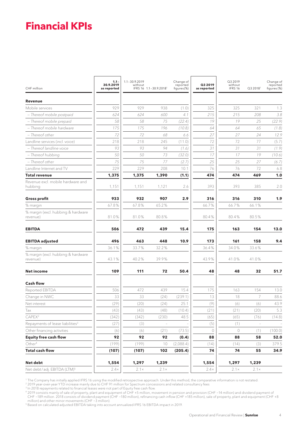# <span id="page-3-0"></span>**Financial KPIs**

| CHF million                                    | $1.1 -$<br>30.9.2019<br>as reported | $1.1 - 30.9.2019$<br>without | IFRS 16 1.1-30.9.2018 <sup>1</sup> | Change of<br>reported<br>figures(%) | Q3 2019<br>as reported | Q3 2019<br>without<br>IFRS 16 | Q3 2018 <sup>1</sup> | Change of<br>reported<br>figures (%) |
|------------------------------------------------|-------------------------------------|------------------------------|------------------------------------|-------------------------------------|------------------------|-------------------------------|----------------------|--------------------------------------|
| Revenue                                        |                                     |                              |                                    |                                     |                        |                               |                      |                                      |
| Mobile services                                | 929                                 | 929                          | 938                                | (1.0)                               | 325                    | 325                           | 321                  | 1.3                                  |
| - Thereof mobile postpaid                      | 624                                 | 624                          | 600                                | 4.1                                 | 215                    | 215                           | 208                  | 3.8                                  |
| - Thereof mobile prepaid                       | 58                                  | 58                           | 75                                 | (22.4)                              | 19                     | 19                            | 25                   | (22.9)                               |
| - Thereof mobile hardware                      | 175                                 | 175                          | 196                                | (10.8)                              | 64                     | 64                            | 65                   | (1.8)                                |
| - Thereof other                                | 72                                  | 72                           | 68                                 | 6.6                                 | 27                     | 27                            | 24                   | 12.9                                 |
| Landline services (incl. voice)                | 218                                 | 218                          | 245                                | (11.0)                              | 72                     | 72                            | 77                   | (5.7)                                |
| - Thereof landline voice                       | 93                                  | 93                           | 94                                 | (1.6)                               | 31                     | 31                            | 31                   | (1.9)                                |
| - Thereof hubbing                              | 50                                  | 50                           | 73                                 | (32.0)                              | 17                     | 17                            | 19                   | (10.6)                               |
| - Thereof other                                | 75                                  | 75                           | 77                                 | (2.7)                               | 25                     | 25                            | 27                   | (6.7)                                |
| Landline Internet and TV                       | 229                                 | 229                          | 208                                | 10.1                                | 76                     | 76                            | 72                   | 6.8                                  |
| <b>Total revenue</b>                           | 1,375                               | 1,375                        | 1,390                              | (1.1)                               | 474                    | 474                           | 469                  | 1.0                                  |
| Revenue excl. mobile hardware and<br>hubbing   | 1,151                               | 1,151                        | 1,121                              | 2.6                                 | 393                    | 393                           | 385                  | 2.0                                  |
| <b>Gross profit</b>                            | 933                                 | 932                          | 907                                | 2.9                                 | 316                    | 316                           | 310                  | 1.9                                  |
| % margin                                       | 67.8%                               | 67.8%                        | 65.2%                              |                                     | 66.7%                  | 66.7%                         | 66.1%                |                                      |
| % margin (excl. hubbing & hardware<br>revenue) | 81.0%                               | 81.0%                        | 80.8%                              |                                     | 80.4%                  | 80.4%                         | 80.5%                |                                      |
| <b>EBITDA</b>                                  | 506                                 | 472                          | 439                                | 15.4                                | 175                    | 163                           | 154                  | 13.0                                 |
| <b>EBITDA</b> adjusted                         | 496                                 | 463                          | 448                                | 10.9                                | 173                    | 161                           | 158                  | 9.4                                  |
| % margin                                       | 36.1%                               | 33.7%                        | 32.2%                              |                                     | 36.4%                  | 34.0%                         | 33.6%                |                                      |
| % margin (excl. hubbing & hardware<br>revenue) | 43.1%                               | 40.2%                        | 39.9%                              |                                     | 43.9%                  | 41.0%                         | 41.0%                |                                      |
| <b>Net income</b>                              | 109                                 | 111                          | 72                                 | 50.4                                | 48                     | 48                            | 32                   | 51.7                                 |
| <b>Cash flow</b>                               |                                     |                              |                                    |                                     |                        |                               |                      |                                      |
| Reported EBITDA                                | 506                                 | 472                          | 439                                | 15.4                                | 175                    | 163                           | 154                  | 13.0                                 |
| Change in NWC                                  | 33                                  | 33                           | (24)                               | (239.1)                             | 13                     | 18                            | 7                    | 88.6                                 |
| Net interest                                   | (29)                                | (20)                         | (24)                               | 25.1                                | (9)                    | (6)                           | (6)                  | 43.9                                 |
| Tax                                            | (43)                                | (43)                         | (48)                               | (10.4)                              | (21)                   | (21)                          | (20)                 | 5.3                                  |
| CAPEX <sup>2</sup>                             | (342)                               | (342)                        | (230)                              | 48.5                                | (65)                   | (65)                          | (76)                 | (14.8)                               |
| Repayments of lease liabilities <sup>3</sup>   | (27)                                | (3)                          |                                    |                                     | (5)                    | (1)                           |                      |                                      |
| Other financing activities                     | (6)                                 | (6)                          | (21)                               | (73.5)                              | $\circ$                | $\circ$                       | (1)                  | (100.0)                              |
| <b>Equity free cash flow</b>                   | 92                                  | 92                           | 92                                 | (0.4)                               | 88                     | 88                            | 58                   | 52.0                                 |
| Other <sup>4</sup>                             | (199)                               | (199)                        | 10                                 | (2,088.4)                           | (14)                   | (14)                          | (3)                  | 379.5                                |
| <b>Total cash flow</b>                         | (107)                               | (107)                        | 102                                | (205.4)                             | 74                     | 74                            | 55                   | 34.9                                 |
| Net debt                                       | 1,554                               | 1,297                        | 1,239                              |                                     | 1,554                  | 1,297                         | 1,239                |                                      |
| Net debt/adj. EBITDA (LTM) <sup>5</sup>        | $2.4\times$                         | $2.1 \times$                 | $2.1 \times$                       |                                     | $2.4\times$            | $2.1 \times$                  | $2.1 \times$         |                                      |

1 The Company has initially applied IFRS 16 using the modified retrospective approach. Under this method, the comparative information is not restated.

<sup>2</sup> 2019 year-over-year YTD increase mainly due to CHF 91 million for Spectrum concessions and related consultancy fees<br><sup>3</sup> In 2018 repayments related to financial leases were not part of Equity free cash flow.<br><sup>4</sup> 2019 c CHF −189 million. 2018 consists of dividend payment (CHF −180 million), refinancing cash inflow (CHF +185 million), sale of property, plant and equipment (CHF +8 million) and other minor movements (CHF −3 million).

5 Based on calculated adjusted EBITDA taking into account annualized IFRS 16 EBITDA impact in 2019.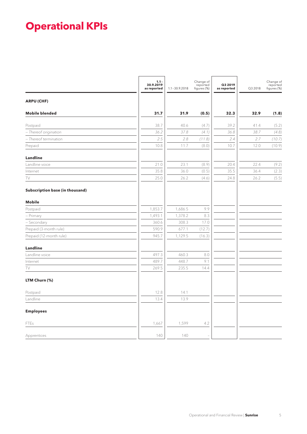# <span id="page-4-0"></span>**Operational KPIs**

|                                 | $1.1 -$<br>30.9.2019<br>as reported | $1.1 - 30.9.2018$ | Change of<br>reported<br>figures (%) | Q3 2019<br>as reported | Q3 2018 | Change of<br>reported<br>figures (%) |
|---------------------------------|-------------------------------------|-------------------|--------------------------------------|------------------------|---------|--------------------------------------|
| <b>ARPU (CHF)</b>               |                                     |                   |                                      |                        |         |                                      |
| <b>Mobile blended</b>           | 31.7                                | 31.9              | (0.5)                                | 32.3                   | 32.9    | (1.8)                                |
| Postpaid                        | 38.7                                | 40.6              | (4.7)                                | 39.2                   | 41.4    | (5.2)                                |
| - Thereof origination           | 36.2                                | 37.8              | (4.1)                                | 36.8                   | 38.7    | (4.8)                                |
| - Thereof termination           | 2.5                                 | 2.8               | (11.8)                               | 2.4                    | 2.7     | (10.7)                               |
| Prepaid                         | 10.8                                | 11.7              | (8.0)                                | 10.7                   | 12.0    | (10.9)                               |
| Landline                        |                                     |                   |                                      |                        |         |                                      |
| Landline voice                  | 21.0                                | 23.1              | (8.9)                                | 20.4                   | 22.4    | (9.2)                                |
| Internet                        | 35.8                                | 36.0              | (0.5)                                | 35.5                   | 36.4    | (2.3)                                |
| TV                              | 25.0                                | 26.2              | (4.6)                                | 24.8                   | 26.2    | (5.5)                                |
| Subscription base (in thousand) |                                     |                   |                                      |                        |         |                                      |
| <b>Mobile</b>                   |                                     |                   |                                      |                        |         |                                      |
| Postpaid                        | 1,853.7                             | 1,686.5           | 9.9                                  |                        |         |                                      |
| - Primary                       | 1,493.1                             | 1,378.2           | 8.3                                  |                        |         |                                      |
| - Secondary                     | 360.6                               | 308.3             | 17.0                                 |                        |         |                                      |
| Prepaid (3-month rule)          | 590.9                               | 677.1             | (12.7)                               |                        |         |                                      |
| Prepaid (12-month rule)         | 945.7                               | 1,129.5           | (16.3)                               |                        |         |                                      |
| <b>Landline</b>                 |                                     |                   |                                      |                        |         |                                      |
| Landline voice                  | 497.3                               | 460.3             | 8.0                                  |                        |         |                                      |
| Internet                        | 489.7                               | 448.7             | 9.1                                  |                        |         |                                      |
| TV                              | 269.5                               | 235.5             | 14.4                                 |                        |         |                                      |
| LTM Churn (%)                   |                                     |                   |                                      |                        |         |                                      |
| Postpaid                        | 12.8                                | 14.1              |                                      |                        |         |                                      |
| Landline                        | 13.4                                | 13.9              |                                      |                        |         |                                      |
| <b>Employees</b>                |                                     |                   |                                      |                        |         |                                      |
| <b>FTEs</b>                     | 1,667                               | 1,599             | 4.2                                  |                        |         |                                      |
| Apprentices                     | 140                                 | 140               |                                      |                        |         |                                      |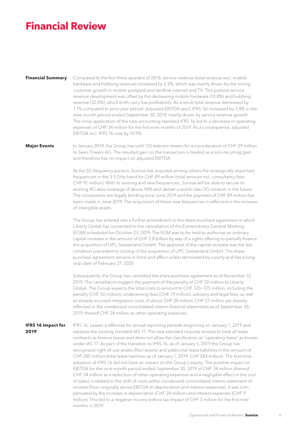## <span id="page-5-0"></span>**Financial Review**

#### **Financial Summary**

Compared to the first three quarters of 2018, service revenue (total revenue excl. mobile hardware and hubbing revenue) increased by 2.6%, which was mainly driven by the strong customer growth in mobile postpaid and landline internet and TV. This positive service revenue development was offset by the decreasing mobile hardware (10.8%) and hubbing revenue (32.0%), which both carry low profitability. As a result total revenue decreased by 1.1% compared to prior year period. Adjusted EBITDA (excl. IFRS 16) increased by 3.4% in the nine-month period ended September 30, 2019, mainly driven by service revenue growth. The initial application of the new accounting standard IFRS 16 led to a decrease in operating expenses of CHF 34 million for the first nine months of 2019. As a consequence, adjusted EBITDA incl. IFRS 16 rose by 10.9%.

#### **Major Events**

In January 2019, the Group has sold 133 telecom towers for a consideration of CHF 29 million to Swiss Towers AG. The resulted gain on the transaction is treated as a non-recurring gain and therefore has no impact on adjusted EBITDA.

At the 5G frequency auction, Sunrise has acquired among others the strategically important frequencies in the 3.5 GHz band for CHF 89 million (total amount incl. consultancy fees: CHF 91 million). With its existing and new frequencies, Sunrise will be able to secure its existing 4G area coverage of above 96% and deliver a world-class 5G network in the future. The concessions are legally binding since June 2019 and the payment of CHF 89 million has been made in June 2019. The acquisition of these new frequencies is reflected in the increase of intangible assets.

The Group has entered into a further amendment to the share purchase agreement in which Liberty Global has consented to the cancellation of the Extraordinary General Meeting (EGM) scheduled for October 23, 2019. The EGM was to be held to authorise an ordinary capital increase in the amount of CHF 2.8 billion by way of a rights offering to partially finance the acquisition of UPC Switzerland GmbH. The approval of the capital increase was the last condition precedent to closing of the acquisition of UPC Switzerland GmbH. The share purchase agreement remains in force and effect unless terminated by a party and has a long stop date of February 27, 2020.

Subsequently, the Group has cancelled the share purchase agreement as of November 12, 2019. The cancellation triggers the payment of the penalty of CHF 50 million to Liberty Global. The Group expects the total costs to amount to CHF 120–125 million, including the penalty (CHF 50 million), underwriting fees (CHF 19 million), advisory and legal fees, as well as already incurred integration costs of about CHF 24 million. CHF 27 million are already reflected in the condensed consolidated interim financial statements as of September 30, 2019, thereof CHF 24 million as other operating expenses.

**IFRS 16 Impact for 2019**

IFRS 16, Leases is effective for annual reporting periods beginning on January 1, 2019 and replaces the existing standard IAS 17. The new standard requires lessees to treat all lease contracts as finance leases and does not allow the classification as "operating lease" as known under IAS 17. As part of the transition to IFRS 16, as of January 1, 2019 the Group has recognized right-of-use assets (RoU assets) and additional lease liabilities in the amount of CHF 280 million (total lease liabilities as of January 1, 2019: CHF 284 million). The first-time adoption of IFRS 16 did not have an impact on the Group's equity. The positive impact on EBITDA for the nine-month period ended September 30, 2019 of CHF 34 million (thereof CHF 34 million as a reduction of other operating expenses and a negligible effect in the cost of sales), is related to the shift of costs within condensed consolidated interim statement of income (from originally above EBITDA to depreciation and interest expenses). It was compensated by the increase in depreciation (CHF 28 million) and interest expenses (CHF 9 million). This led to a negative income before tax impact of CHF 3 million for the first nine months in 2019.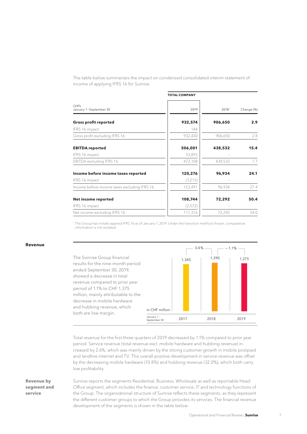The table below summarizes the impact on condensed consolidated interim statement of income of applying IFRS 16 for Sunrise:

| <b>TOTAL COMPANY</b> |         |                  |
|----------------------|---------|------------------|
| 2019                 | 20181   | Change (%)       |
| 932,574              | 906,650 | 2.9 <sub>2</sub> |
| 144                  |         |                  |
| 932,430              | 906,650 | 2.8              |
| 506,001              | 438,532 | 15.4             |
| 33,893               |         |                  |
| 472,108              | 438,532 | 7.7              |
| 120,276              | 96,934  | 24.1             |
| (3,215)              |         |                  |
| 123,491              | 96,934  | 27.4             |
| 108,744              | 72,292  | 50.4             |
| (2,572)              |         |                  |
| 111,316              | 72,292  | 54.0             |
|                      |         |                  |

1 The Group has initially applied IFRS 16 as of January 1, 2019. Under the transition method chosen, comparative information is not restated.

#### **Revenue**



Total revenue for the first three quarters of 2019 decreased by 1.1% compared to prior year period. Service revenue (total revenue excl. mobile hardware and hubbing revenue) increased by 2.6%, which was mainly driven by the strong customer growth in mobile postpaid and landline internet and TV. This overall positive development in service revenue was offset by the decreasing mobile hardware (10.8%) and hubbing revenue (32.0%), which both carry low profitability.

Sunrise reports the segments Residential, Business, Wholesale as well as reportable Head Office segment, which includes the finance, customer service, IT and technology functions of the Group. The organizational structure of Sunrise reflects these segments, as they represent the different customer groups to which the Group provides its services. The financial revenue development of the segments is shown in the table below:

#### **Revenue by segment and service**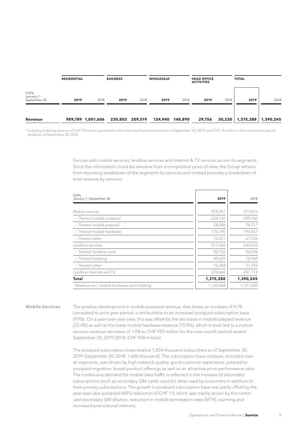|                                    | <b>RESIDENTIAL</b> |                   | <b>BUSINESS</b> |         | <b>WHOLESALE<sup>1</sup></b> |                 | <b>HEAD OFFICE</b><br><b>ACTIVITIES</b> |        | <b>TOTAL</b> |           |
|------------------------------------|--------------------|-------------------|-----------------|---------|------------------------------|-----------------|-----------------------------------------|--------|--------------|-----------|
| CHFk<br>January 1-<br>September 30 | 2019               | 2018              | 2019            | 2018    | 2019                         | 2018            | 2019                                    | 2018   | 2019         | 2018      |
| Revenue                            |                    | 989,789 1,001,606 | 230,803         | 209,519 |                              | 124,940 148,890 | 29,756                                  | 30,230 | 1,375,288    | 1,390,245 |

<sup>1</sup> Including hubbing revenue of CHF 50 million generated in the nine-month period ended as of September 30, 2019, and CHF 73 million in the nine-month period ended as of September 30, 2018.

> Sunrise sells mobile services, landline services and Internet & TV services across its segments. Since this information could be sensitive from a competitive point of view, the Group refrains from reporting breakdown of the segments by services and instead provides a breakdown of total revenue by services:

| CHFk<br>January 1-September 30            | 2019      | 2018      |
|-------------------------------------------|-----------|-----------|
|                                           |           |           |
| Mobile services                           | 928,957   | 937,876   |
| - Thereof mobile postpaid                 | 624,135   | 599,766   |
| - Thereof mobile prepaid                  | 58,006    | 74,717    |
| - Thereof mobile hardware                 | 174,795   | 195,857   |
| – Thereof other                           | 72,021    | 67,536    |
| Landline services                         | 217,665   | 244,655   |
| - Thereof landline voice                  | 92,756    | 94,294    |
| - Thereof hubbing                         | 49,625    | 72,968    |
| – Thereof other                           | 75,284    | 77,393    |
| Landline Internet and TV                  | 228,666   | 207,714   |
| <b>Total</b>                              | 1,375,288 | 1,390,245 |
| Revenue excl. mobile hardware and hubbing | 1,150,868 | 1,121,420 |
|                                           |           |           |

**Mobile Services**

The positive development in mobile postpaid revenue, that shows an increase of 4.1% compared to prior year period, is attributable to an increased postpaid subscription base (9.9%). On a year-over-year view, this was offset by the decrease in mobile prepaid revenue (22.4%) as well as the lower mobile hardware revenue (10.8%), which in total led to a mobile services revenue decrease of 1.0% to CHF 929 million for the nine-month period ended September 30, 2019 (2018: CHF 938 million).

The postpaid subscription base totaled 1,854 thousand subscribers as of September 30, 2019 (September 30, 2018: 1,686 thousand). The subscription base increase, recorded over all segments, was driven by high network quality, good customer experience, prepaid to postpaid migration, broad product offerings as well as an attractive price performance ratio. The continuous demand for mobile data traffic is reflected in the increase of secondary subscriptions (such as secondary SIM-cards used for data) used by customers in addition to their primary subscriptions. The growth in postpaid subscription base was partly offset by the year-over-year postpaid ARPU reduction of CHF 1.9, which was mainly driven by the continued secondary SIM dilution, reduction in mobile termination rates (MTR), roaming and increased promotional intensity.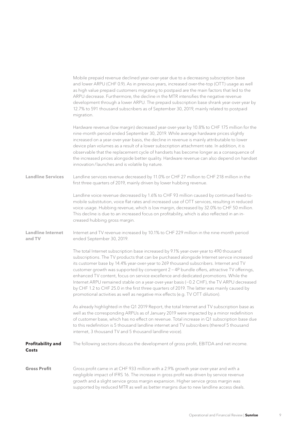|                                    | Mobile prepaid revenue declined year-over-year due to a decreasing subscription base<br>and lower ARPU (CHF 0.9). As in previous years, increased over-the-top (OTT) usage as well<br>as high value prepaid customers migrating to postpaid are the main factors that led to the<br>ARPU decrease. Furthermore, the decline in the MTR intensifies the negative revenue<br>development through a lower ARPU. The prepaid subscription base shrank year-over-year by<br>12.7% to 591 thousand subscribers as of September 30, 2019, mainly related to postpaid<br>migration.                                                                                                                                                                      |
|------------------------------------|--------------------------------------------------------------------------------------------------------------------------------------------------------------------------------------------------------------------------------------------------------------------------------------------------------------------------------------------------------------------------------------------------------------------------------------------------------------------------------------------------------------------------------------------------------------------------------------------------------------------------------------------------------------------------------------------------------------------------------------------------|
|                                    | Hardware revenue (low margin) decreased year-over-year by 10.8% to CHF 175 million for the<br>nine-month period ended September 30, 2019. While average hardware prices slightly<br>increased on a year-over-year basis, the decline in revenue is mainly attributable to lower<br>device plan volumes as a result of a lower subscription attachment rate. In addition, it is<br>observable that the replacement cycle of handsets has become longer as a consequence of<br>the increased prices alongside better quality. Hardware revenue can also depend on handset<br>innovation/launches and is volatile by nature.                                                                                                                        |
| <b>Landline Services</b>           | Landline services revenue decreased by 11.0% or CHF 27 million to CHF 218 million in the<br>first three quarters of 2019, mainly driven by lower hubbing revenue.                                                                                                                                                                                                                                                                                                                                                                                                                                                                                                                                                                                |
|                                    | Landline voice revenue decreased by 1.6% to CHF 93 million caused by continued fixed-to-<br>mobile substitution, voice flat rates and increased use of OTT services, resulting in reduced<br>voice usage. Hubbing revenue, which is low margin, decreased by 32.0% to CHF 50 million.<br>This decline is due to an increased focus on profitability, which is also reflected in an in-<br>creased hubbing gross margin.                                                                                                                                                                                                                                                                                                                          |
| <b>Landline Internet</b><br>and TV | Internet and TV revenue increased by 10.1% to CHF 229 million in the nine-month period<br>ended September 30, 2019.                                                                                                                                                                                                                                                                                                                                                                                                                                                                                                                                                                                                                              |
|                                    | The total Internet subscription base increased by 9.1% year-over-year to 490 thousand<br>subscriptions. The TV products that can be purchased alongside Internet service increased<br>its customer base by 14.4% year-over-year to 269 thousand subscribers. Internet and TV<br>customer growth was supported by convergent 2 - 4P bundle offers, attractive TV offerings,<br>enhanced TV content, focus on service excellence and dedicated promotions. While the<br>Internet ARPU remained stable on a year-over-year basis (-0.2 CHF), the TV ARPU decreased<br>by CHF 1.2 to CHF 25.0 in the first three quarters of 2019. The latter was mainly caused by<br>promotional activities as well as negative mix effects (e.g. TV OTT dilution). |
|                                    | As already highlighted in the Q1 2019 Report, the total Internet and TV subscription base as<br>well as the corresponding ARPUs as of January 2019 were impacted by a minor redefinition<br>of customer base, which has no effect on revenue. Total increase in Q1 subscription base due<br>to this redefinition is 5 thousand landline internet and TV subscribers (thereof 5 thousand<br>internet, 3 thousand TV and 5 thousand landline voice).                                                                                                                                                                                                                                                                                               |
| <b>Profitability and</b><br>Costs  | The following sections discuss the development of gross profit, EBITDA and net income.                                                                                                                                                                                                                                                                                                                                                                                                                                                                                                                                                                                                                                                           |
| <b>Gross Profit</b>                | Gross profit came in at CHF 933 million with a 2.9% growth year-over-year and with a<br>negligible impact of IFRS 16. The increase in gross profit was driven by service revenue<br>growth and a slight service gross margin expansion. Higher service gross margin was<br>supported by reduced MTR as well as better margins due to new landline access deals.                                                                                                                                                                                                                                                                                                                                                                                  |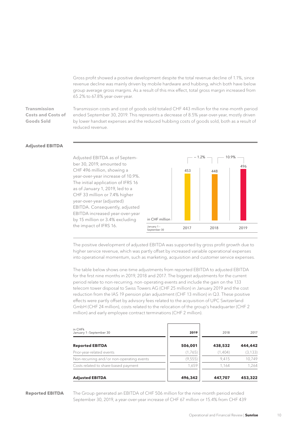Gross profit showed a positive development despite the total revenue decline of 1.1%, since revenue decline was mainly driven by mobile hardware and hubbing, which both have below group average gross margins. As a result of this mix effect, total gross margin increased from 65.2% to 67.8% year-over-year.

#### **Transmission Costs and Costs of Goods Sold**

Transmission costs and cost of goods sold totaled CHF 443 million for the nine-month period ended September 30, 2019. This represents a decrease of 8.5% year-over-year, mostly driven by lower handset expenses and the reduced hubbing costs of goods sold, both as a result of reduced revenue.

#### **Adjusted EBITDA**



The positive development of adjusted EBITDA was supported by gross profit growth due to higher service revenue, which was partly offset by increased variable operational expenses into operational momentum, such as marketing, acquisition and customer service expenses.

The table below shows one-time adjustments from reported EBITDA to adjusted EBITDA for the first nine months in 2019, 2018 and 2017. The biggest adjustments for the current period relate to non-recurring, non-operating events and include the gain on the 133 telecom tower disposal to Swiss Towers AG (CHF 25 million) in January 2019 and the cost reduction from the IAS 19 pension plan adjustment (CHF 13 million) in Q3. These positive effects were partly offset by advisory fees related to the acquisition of UPC Switzerland GmbH (CHF 24 million), costs related to the relocation of the group's headquarter (CHF 2 million) and early employee contract terminations (CHF 2 million).

| in CHFk<br>January 1-September 30         | 2019     | 2018    | 2017     |
|-------------------------------------------|----------|---------|----------|
| <b>Reported EBITDA</b>                    | 506,001  | 438,532 | 444,442  |
| Prior-year-related events                 | (1,765)  | (1,404) | (3, 133) |
| Non-recurring and/or non-operating events | (9, 555) | 9.415   | 10.749   |
| Costs related to share-based payment      | 1.659    | 1.164   | 1.264    |
| <b>Adjusted EBITDA</b>                    | 496,342  | 447.707 | 453,322  |

#### **Reported EBITDA**

The Group generated an EBITDA of CHF 506 million for the nine-month period ended September 30, 2019, a year-over-year increase of CHF 67 million or 15.4% from CHF 439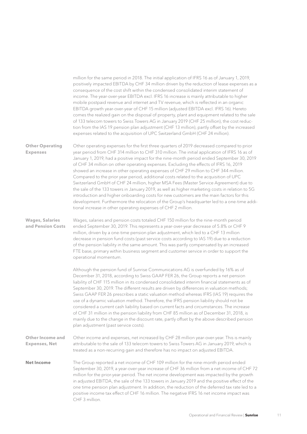|                                                 | million for the same period in 2018. The initial application of IFRS 16 as of January 1, 2019,<br>positively impacted EBITDA by CHF 34 million driven by the reduction of lease expenses as a<br>consequence of the cost shift within the condensed consolidated interim statement of<br>income. The year-over-year EBITDA excl. IFRS 16 increase is mainly attributable to higher<br>mobile postpaid revenue and internet and TV revenue, which is reflected in an organic<br>EBITDA growth year-over-year of CHF 15 million (adjusted EBITDA excl. IFRS 16). Hereto<br>comes the realized gain on the disposal of property, plant and equipment related to the sale<br>of 133 telecom towers to Swiss Towers AG in January 2019 (CHF 25 million), the cost reduc-<br>tion from the IAS 19 pension plan adjustment (CHF 13 million), partly offset by the increased<br>expenses related to the acquisition of UPC Switzerland GmbH (CHF 24 million).                                                                    |
|-------------------------------------------------|--------------------------------------------------------------------------------------------------------------------------------------------------------------------------------------------------------------------------------------------------------------------------------------------------------------------------------------------------------------------------------------------------------------------------------------------------------------------------------------------------------------------------------------------------------------------------------------------------------------------------------------------------------------------------------------------------------------------------------------------------------------------------------------------------------------------------------------------------------------------------------------------------------------------------------------------------------------------------------------------------------------------------|
| <b>Other Operating</b><br><b>Expenses</b>       | Other operating expenses for the first three quarters of 2019 decreased compared to prior<br>year period from CHF 314 million to CHF 310 million. The initial application of IFRS 16 as of<br>January 1, 2019, had a positive impact for the nine-month period ended September 30, 2019<br>of CHF 34 million on other operating expenses. Excluding the effects of IFRS 16, 2019<br>showed an increase in other operating expenses of CHF 29 million to CHF 344 million.<br>Compared to the prior year period, additional costs related to the acquisition of UPC<br>Switzerland GmbH of CHF 24 million, higher MSA Fees (Master Service Agreement) due to<br>the sale of the 133 towers in January 2019, as well as higher marketing costs in relation to 5G<br>introduction and higher onboarding costs for new customers are the main factors for this<br>development. Furthermore the relocation of the Group's headquarter led to a one-time addi-<br>tional increase in other operating expenses of CHF 2 million. |
| <b>Wages, Salaries</b><br>and Pension Costs     | Wages, salaries and pension costs totaled CHF 150 million for the nine-month period<br>ended September 30, 2019. This represents a year-over-year decrease of 5.8% or CHF 9<br>million, driven by a one-time pension plan adjustment, which led to a CHF 13 million<br>decrease in pension fund costs (past service costs according to IAS 19) due to a reduction<br>of the pension liability in the same amount. This was partly compensated by an increased<br>FTE base, primary within business segment and customer service in order to support the<br>operational momentum.                                                                                                                                                                                                                                                                                                                                                                                                                                         |
|                                                 | Although the pension fund of Sunrise Communications AG is overfunded by 16% as of<br>December 31, 2018, according to Swiss GAAP FER 26, the Group reports a net pension<br>liability of CHF 115 million in its condensed consolidated interim financial statements as of<br>September 30, 2019. The different results are driven by differences in valuation methods;<br>Swiss GAAP FER 26 prescribes a static valuation method whereas IFRS (IAS 19) requires the<br>use of a dynamic valuation method. Therefore, the IFRS pension liability should not be<br>considered a current cash liability based on current facts and circumstances. The increase<br>of CHF 31 million in the pension liability from CHF 85 million as of December 31, 2018, is<br>mainly due to the change in the discount rate, partly offset by the above described pension<br>plan adjustment (past service costs).                                                                                                                         |
| <b>Other Income and</b><br><b>Expenses, Net</b> | Other income and expenses, net increased by CHF 28 million year-over-year. This is mainly<br>attributable to the sale of 133 telecom towers to Swiss Towers AG in January 2019, which is<br>treated as a non-recurring gain and therefore has no impact on adjusted EBITDA.                                                                                                                                                                                                                                                                                                                                                                                                                                                                                                                                                                                                                                                                                                                                              |
| <b>Net Income</b>                               | The Group reported a net income of CHF 109 million for the nine-month period ended<br>September 30, 2019, a year-over-year increase of CHF 36 million from a net income of CHF 72<br>million for the prior-year period. The net income development was impacted by the growth<br>in adjusted EBITDA, the sale of the 133 towers in January 2019 and the positive effect of the<br>one time pension plan adjustment. In addition, the reduction of the deferred tax rate led to a<br>positive income tax effect of CHF 16 million. The negative IFRS 16 net income impact was<br>CHF 3 million.                                                                                                                                                                                                                                                                                                                                                                                                                           |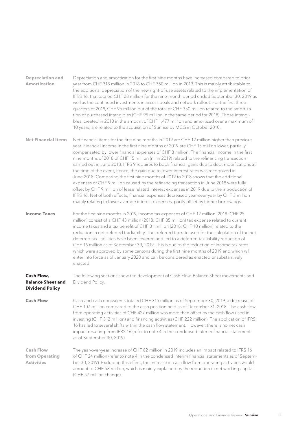| <b>Depreciation and</b><br><b>Amortization</b>                          | Depreciation and amortization for the first nine months have increased compared to prior<br>year from CHF 318 million in 2018 to CHF 350 million in 2019. This is mainly attributable to<br>the additional depreciation of the new right-of-use assets related to the implementation of<br>IFRS 16, that totaled CHF 28 million for the nine-month period ended September 30, 2019 as<br>well as the continued investments in access deals and network rollout. For the first three<br>quarters of 2019, CHF 95 million out of the total of CHF 350 million related to the amortiza-<br>tion of purchased intangibles (CHF 95 million in the same period for 2018). Those intangi-<br>bles, created in 2010 in the amount of CHF 1,477 million and amortized over a maximum of<br>10 years, are related to the acquisition of Sunrise by MCG in October 2010.                                                                                                                                                                                                    |
|-------------------------------------------------------------------------|------------------------------------------------------------------------------------------------------------------------------------------------------------------------------------------------------------------------------------------------------------------------------------------------------------------------------------------------------------------------------------------------------------------------------------------------------------------------------------------------------------------------------------------------------------------------------------------------------------------------------------------------------------------------------------------------------------------------------------------------------------------------------------------------------------------------------------------------------------------------------------------------------------------------------------------------------------------------------------------------------------------------------------------------------------------|
| <b>Net Financial Items</b>                                              | Net financial items for the first nine months in 2019 are CHF 12 million higher than previous<br>year. Financial income in the first nine months of 2019 are CHF 15 million lower, partially<br>compensated by lower financial expenses of CHF 3 million. The financial income in the first<br>nine months of 2018 of CHF 15 million (nil in 2019) related to the refinancing transaction<br>carried out in June 2018. IFRS 9 requires to book financial gains due to debt modifications at<br>the time of the event, hence, the gain due to lower interest rates was recognized in<br>June 2018. Comparing the first nine months of 2019 to 2018 shows that the additional<br>expenses of CHF 9 million caused by the refinancing transaction in June 2018 were fully<br>offset by CHF 9 million of lease related interest expenses in 2019 due to the introduction of<br>IFRS 16. Net of both effects, financial expenses decreased year-over-year by CHF 3 million<br>mainly relating to lower average interest expenses, partly offset by higher borrowings. |
| <b>Income Taxes</b>                                                     | For the first nine months in 2019, income tax expenses of CHF 12 million (2018: CHF 25<br>million) consist of a CHF 43 million (2018: CHF 35 million) tax expense related to current<br>income taxes and a tax benefit of CHF 31 million (2018: CHF 10 million) related to the<br>reduction in net deferred tax liability. The deferred tax rate used for the calculation of the net<br>deferred tax liabilities have been lowered and led to a deferred tax liability reduction of<br>CHF 16 million as of September 30, 2019. This is due to the reduction of income tax rates<br>which were approved by some cantons during the first nine months of 2019 and which will<br>enter into force as of January 2020 and can be considered as enacted or substantively<br>enacted.                                                                                                                                                                                                                                                                                 |
| <b>Cash Flow.</b><br><b>Balance Sheet and</b><br><b>Dividend Policy</b> | The following sections show the development of Cash Flow, Balance Sheet movements and<br>Dividend Policy.                                                                                                                                                                                                                                                                                                                                                                                                                                                                                                                                                                                                                                                                                                                                                                                                                                                                                                                                                        |
| <b>Cash Flow</b>                                                        | Cash and cash equivalents totaled CHF 315 million as of September 30, 2019, a decrease of<br>CHF 107 million compared to the cash position held as of December 31, 2018. The cash flow<br>from operating activities of CHF 427 million was more than offset by the cash flow used in<br>investing (CHF 312 million) and financing activities (CHF 222 million). The application of IFRS<br>16 has led to several shifts within the cash flow statement. However, there is no net cash<br>impact resulting from IFRS 16 (refer to note 4 in the condensed interim financial statements<br>as of September 30, 2019).                                                                                                                                                                                                                                                                                                                                                                                                                                              |
| <b>Cash Flow</b><br>from Operating<br><b>Activities</b>                 | The year-over-year increase of CHF 82 million in 2019 includes an impact related to IFRS 16<br>of CHF 24 million (refer to note 4 in the condensed interim financial statements as of Septem-<br>ber 30, 2019). Excluding this effect, the increase in cash flow from operating activities would<br>amount to CHF 58 million, which is mainly explained by the reduction in net working capital<br>(CHF 57 million change).                                                                                                                                                                                                                                                                                                                                                                                                                                                                                                                                                                                                                                      |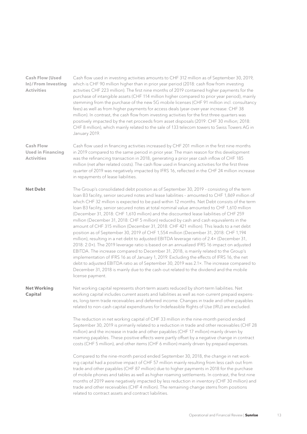| <b>Cash Flow (Used</b><br>In)/From Investing<br><b>Activities</b> | Cash flow used in investing activities amounts to CHF 312 million as of September 30, 2019,<br>which is CHF 90 million higher than in prior year period (2018: cash flow from investing<br>activities CHF 223 million). The first nine months of 2019 contained higher payments for the<br>purchase of intangible assets (CHF 114 million higher compared to prior year period), mainly<br>stemming from the purchase of the new 5G mobile licenses (CHF 91 million incl. consultancy<br>fees) as well as from higher payments for access deals (year-over-year increase: CHF 38<br>million). In contrast, the cash flow from investing activities for the first three quarters was<br>positively impacted by the net proceeds from asset disposals (2019: CHF 30 million; 2018:<br>CHF 8 million), which mainly related to the sale of 133 telecom towers to Swiss Towers AG in<br>January 2019.                                                                                                                                                                                                                                                                                                                                                                                                                                                            |
|-------------------------------------------------------------------|--------------------------------------------------------------------------------------------------------------------------------------------------------------------------------------------------------------------------------------------------------------------------------------------------------------------------------------------------------------------------------------------------------------------------------------------------------------------------------------------------------------------------------------------------------------------------------------------------------------------------------------------------------------------------------------------------------------------------------------------------------------------------------------------------------------------------------------------------------------------------------------------------------------------------------------------------------------------------------------------------------------------------------------------------------------------------------------------------------------------------------------------------------------------------------------------------------------------------------------------------------------------------------------------------------------------------------------------------------------|
| <b>Cash Flow</b><br><b>Used in Financing</b><br><b>Activities</b> | Cash flow used in financing activities increased by CHF 201 million in the first nine months<br>in 2019 compared to the same period in prior year. The main reason for this development<br>was the refinancing transaction in 2018, generating a prior year cash inflow of CHF 185<br>million (net after related costs). The cash flow used in financing activities for the first three<br>quarter of 2019 was negatively impacted by IFRS 16, reflected in the CHF 24 million increase<br>in repayments of lease liabilities.                                                                                                                                                                                                                                                                                                                                                                                                                                                                                                                                                                                                                                                                                                                                                                                                                               |
| <b>Net Debt</b>                                                   | The Group's consolidated debt position as of September 30, 2019 - consisting of the term<br>loan B3 facility, senior secured notes and lease liabilities - amounted to CHF 1,869 million of<br>which CHF 32 million is expected to be paid within 12 months. Net Debt consists of the term<br>loan B3 facility, senior secured notes at total nominal value amounted to CHF 1,610 million<br>(December 31, 2018: CHF 1,610 million) and the discounted lease liabilities of CHF 259<br>million (December 31, 2018: CHF 5 million) reduced by cash and cash equivalents in the<br>amount of CHF 315 million (December 31, 2018: CHF 421 million). This leads to a net debt<br>position as of September 30, 2019 of CHF 1,554 million (December 31, 2018: CHF 1,194<br>million), resulting in a net debt to adjusted EBITDA leverage ratio of 2.4x (December 31,<br>2018: 2.0x). The 2019 leverage ratio is based on an annualized IFRS 16 impact on adjusted<br>EBITDA. The increase compared to December 31, 2018, is mainly related to the Group's<br>implementation of IFRS 16 as of January 1, 2019. Excluding the effects of IFRS 16, the net<br>debt to adjusted EBITDA ratio as of September 30, 2019 was 2.1×. The increase compared to<br>December 31, 2018 is mainly due to the cash-out related to the dividend and the mobile<br>license payment. |
| <b>Net Working</b><br>Capital                                     | Net working capital represents short-term assets reduced by short-term liabilities. Net<br>working capital includes current assets and liabilities as well as non-current prepaid expens-<br>es, long-term trade receivables and deferred income. Changes in trade and other payables<br>related to non-cash capital expenditures for Indefeasible Rights of Use (IRU) are excluded.                                                                                                                                                                                                                                                                                                                                                                                                                                                                                                                                                                                                                                                                                                                                                                                                                                                                                                                                                                         |
|                                                                   | The reduction in net working capital of CHF 33 million in the nine-month period ended<br>September 30, 2019 is primarily related to a reduction in trade and other receivables (CHF 28<br>million) and the increase in trade and other payables (CHF 17 million) mainly driven by<br>roaming payables. These positive effects were partly offset by a negative change in contract<br>costs (CHF 5 million), and other items (CHF 6 million) mainly driven by prepaid expenses.                                                                                                                                                                                                                                                                                                                                                                                                                                                                                                                                                                                                                                                                                                                                                                                                                                                                               |
|                                                                   | Compared to the nine-month period ended September 30, 2018, the change in net work-<br>ing capital had a positive impact of CHF 57 million mainly resulting from less cash out from<br>trade and other payables (CHF 87 million) due to higher payments in 2018 for the purchase<br>of mobile phones and tables as well as higher roaming settlements. In contrast, the first nine<br>months of 2019 were negatively impacted by less reduction in inventory (CHF 30 million) and<br>trade and other receivables (CHF 4 million). The remaining change stems from positions<br>related to contract assets and contract liabilities.                                                                                                                                                                                                                                                                                                                                                                                                                                                                                                                                                                                                                                                                                                                          |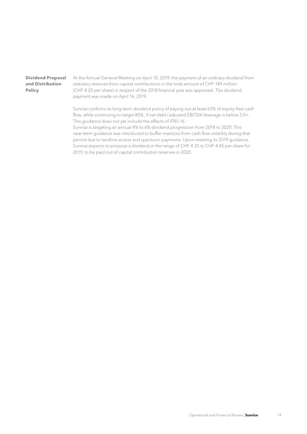## **Dividend Proposal and Distribution Policy**

At the Annual General Meeting on April 10, 2019, the payment of an ordinary dividend from statutory reserves from capital contributions in the total amount of CHF 189 million (CHF 4.20 per share) in respect of the 2018 financial year was approved. The dividend payment was made on April 16, 2019.

Sunrise confirms its long-term dividend policy of paying out at least 65% of equity-free cash flow, while continuing to target 85%, if net debt/adjusted EBITDA leverage is below 2.0×. This guidance does not yet include the effects of IFRS 16.

Sunrise is targeting an annual 4% to 6% dividend progression from 2018 to 2020. This near-term guidance was introduced to buffer investors from cash flow volatility during that period due to landline access and spectrum payments. Upon meeting its 2019 guidance, Sunrise expects to propose a dividend in the range of CHF 4.35 to CHF 4.45 per share for 2019, to be paid out of capital contribution reserves in 2020.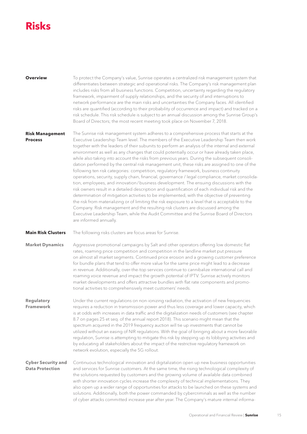# <span id="page-14-0"></span>**Risks**

| <b>Overview</b>        | To protect the Company's value, Sunrise operates a centralized risk management system that<br>differentiates between strategic and operational risks. The Company's risk management plan<br>includes risks from all business functions. Competition, uncertainty regarding the regulatory<br>framework, impairment of supply relationships, and the security of and interruptions to<br>network performance are the main risks and uncertainties the Company faces. All identified<br>risks are quantified (according to their probability of occurrence and impact) and tracked on a<br>risk schedule. This risk schedule is subject to an annual discussion among the Sunrise Group's<br>Board of Directors; the most recent meeting took place on November 7, 2018. |
|------------------------|------------------------------------------------------------------------------------------------------------------------------------------------------------------------------------------------------------------------------------------------------------------------------------------------------------------------------------------------------------------------------------------------------------------------------------------------------------------------------------------------------------------------------------------------------------------------------------------------------------------------------------------------------------------------------------------------------------------------------------------------------------------------|
| <b>Risk Management</b> | The Sunrise risk management system adheres to a comprehensive process that starts at the                                                                                                                                                                                                                                                                                                                                                                                                                                                                                                                                                                                                                                                                               |

Executive Leadership Team level. The members of the Executive Leadership Team then work together with the leaders of their subunits to perform an analysis of the internal and external environment as well as any changes that could potentially occur or have already taken place, while also taking into account the risks from previous years. During the subsequent consolidation performed by the central risk management unit, these risks are assigned to one of the following ten risk categories: competition, regulatory framework, business continuity operations, security, supply chain, financial, governance / legal compliance, market consolidation, employees, and innovation / business development. The ensuing discussions with the risk owners result in a detailed description and quantification of each individual risk and the determination of mitigation activities to be implemented, with the objective of preventing the risk from materializing or of limiting the risk exposure to a level that is acceptable to the Company. Risk management and the resulting risk clusters are discussed among the Executive Leadership Team, while the Audit Committee and the Sunrise Board of Directors are informed annually. **Process**

The following risks clusters are focus areas for Sunrise. **Main Risk Clusters**

Aggressive promotional campaigns by Salt and other operators offering low domestic flat rates, roaming price competition and competition in the landline market put pressure on almost all market segments. Continued price erosion and a growing customer preference for bundle plans that tend to offer more value for the same price might lead to a decrease in revenue. Additionally, over-the-top services continue to cannibalize international call and roaming voice revenue and impact the growth potential of IPTV. Sunrise actively monitors market developments and offers attractive bundles with flat rate components and promotional activities to comprehensively meet customers' needs. **Market Dynamics**

Under the current regulations on non-ionizing radiation, the activation of new frequencies requires a reduction in transmission power and thus less coverage and lower capacity, which is at odds with increases in data traffic and the digitalization needs of customers (see chapter 8.7 on pages 25 et seq. of the annual report 2018). This scenario might mean that the spectrum acquired in the 2019 frequency auction will tie up investments that cannot be utilized without an easing of NIR regulations. With the goal of bringing about a more favorable regulation, Sunrise is attempting to mitigate this risk by stepping up its lobbying activities and by educating all stakeholders about the impact of the restrictive regulatory framework on network evolution, especially the 5G rollout. **Regulatory Framework**

Continuous technological innovation and digitalization open up new business opportunities and services for Sunrise customers. At the same time, the rising technological complexity of the solutions requested by customers and the growing volume of available data combined with shorter innovation cycles increase the complexity of technical implementations. They also open up a wider range of opportunities for attacks to be launched on these systems and solutions. Additionally, both the power commanded by cybercriminals as well as the number of cyber attacks committed increase year after year. The Company's mature internal informa-**Cyber Security and Data Protection**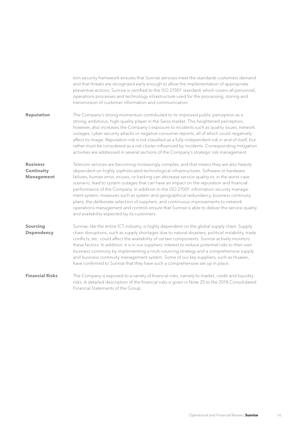|                                                    | tion security framework ensures that Sunrise services meet the standards customers demand<br>and that threats are recognized early enough to allow the implementation of appropriate<br>preventive actions. Sunrise is certified to the ISO 27001 standard, which covers all personnel,<br>operations processes and technology infrastructure used for the processing, storing and<br>transmission of customer information and communication.                                                                                                                                                                                                                                                                                                                                                            |
|----------------------------------------------------|----------------------------------------------------------------------------------------------------------------------------------------------------------------------------------------------------------------------------------------------------------------------------------------------------------------------------------------------------------------------------------------------------------------------------------------------------------------------------------------------------------------------------------------------------------------------------------------------------------------------------------------------------------------------------------------------------------------------------------------------------------------------------------------------------------|
| <b>Reputation</b>                                  | The Company's strong momentum contributed to its improved public perception as a<br>strong, ambitious, high-quality player in the Swiss market. This heightened perception,<br>however, also increases the Company's exposure to incidents such as quality issues, network<br>outages, cyber security attacks or negative consumer reports, all of which could negatively<br>affect its image. Reputation risk is not classified as a fully independent risk in and of itself, but<br>rather must be considered as a risk cluster influenced by incidents. Corresponding mitigation<br>activities are addressed in several sections of the Company's strategic risk management.                                                                                                                          |
| <b>Business</b><br>Continuity<br><b>Management</b> | Telecom services are becoming increasingly complex, and that means they are also heavily<br>dependent on highly sophisticated technological infrastructures. Software or hardware<br>failures, human error, viruses, or hacking can decrease service quality or, in the worst-case<br>scenario, lead to system outages that can have an impact on the reputation and financial<br>performance of the Company. In addition to the ISO 27001 information security manage-<br>ment system, measures such as system and geographical redundancy, business continuity<br>plans, the deliberate selection of suppliers, and continuous improvements to network<br>operations management and controls ensure that Sunrise is able to deliver the service quality<br>and availability expected by its customers. |
| Sourcing<br>Dependency                             | Sunrise, like the entire ICT industry, is highly dependent on the global supply chain. Supply<br>chain disruptions, such as supply shortages due to natural disasters, political instability, trade<br>conflicts, etc. could affect the availability of certain components. Sunrise actively monitors<br>these factors. In addition, it is in our suppliers' interest to reduce potential risks to their own<br>business continuity by implementing a multi-sourcing strategy and a comprehensive supply<br>and business continuity management system. Some of our key suppliers, such as Huawei,<br>have confirmed to Sunrise that they have such a comprehensive set-up in place.                                                                                                                      |
| <b>Financial Risks</b>                             | The Company is exposed to a variety of financial risks, namely to market, credit and liquidity<br>risks. A detailed description of the financial risks is given in Note 25 to the 2018 Consolidated<br>Financial Statements of the Group.                                                                                                                                                                                                                                                                                                                                                                                                                                                                                                                                                                |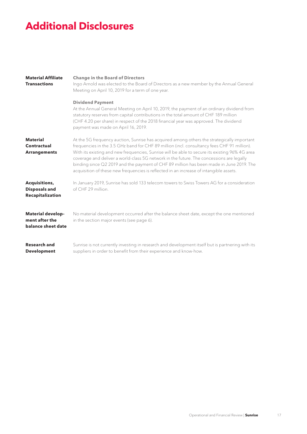# <span id="page-16-0"></span>**Additional Disclosures**

| <b>Material Affiliate</b><br><b>Transactions</b>                        | <b>Change in the Board of Directors</b><br>Ingo Arnold was elected to the Board of Directors as a new member by the Annual General<br>Meeting on April 10, 2019 for a term of one year.<br><b>Dividend Payment</b>                                                                                                                                                                                                                                                                                                                                                           |
|-------------------------------------------------------------------------|------------------------------------------------------------------------------------------------------------------------------------------------------------------------------------------------------------------------------------------------------------------------------------------------------------------------------------------------------------------------------------------------------------------------------------------------------------------------------------------------------------------------------------------------------------------------------|
|                                                                         | At the Annual General Meeting on April 10, 2019, the payment of an ordinary dividend from<br>statutory reserves from capital contributions in the total amount of CHF 189 million<br>(CHF 4.20 per share) in respect of the 2018 financial year was approved. The dividend<br>payment was made on April 16, 2019.                                                                                                                                                                                                                                                            |
| <b>Material</b><br>Contractual<br><b>Arrangements</b>                   | At the 5G frequency auction, Sunrise has acquired among others the strategically important<br>frequencies in the 3.5 GHz band for CHF 89 million (incl. consultancy fees CHF 91 million).<br>With its existing and new frequencies, Sunrise will be able to secure its existing 96% 4G area<br>coverage and deliver a world-class 5G network in the future. The concessions are legally<br>binding since Q2 2019 and the payment of CHF 89 million has been made in June 2019. The<br>acquisition of these new frequencies is reflected in an increase of intangible assets. |
| <b>Acquisitions,</b><br><b>Disposals and</b><br><b>Recapitalization</b> | In January 2019, Sunrise has sold 133 telecom towers to Swiss Towers AG for a consideration<br>of CHE 29 million.                                                                                                                                                                                                                                                                                                                                                                                                                                                            |
| Material develop-<br>ment after the<br>balance sheet date               | No material development occurred after the balance sheet date, except the one mentioned<br>in the section major events (see page 6).                                                                                                                                                                                                                                                                                                                                                                                                                                         |
| <b>Research and</b><br><b>Development</b>                               | Sunrise is not currently investing in research and development itself but is partnering with its<br>suppliers in order to benefit from their experience and know-how.                                                                                                                                                                                                                                                                                                                                                                                                        |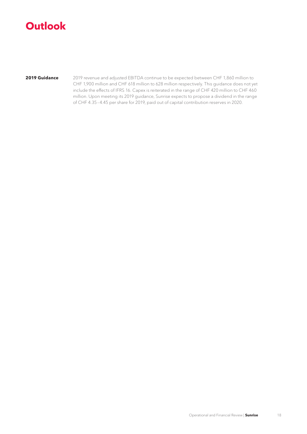# <span id="page-17-0"></span>**Outlook**

**2019 Guidance**

2019 revenue and adjusted EBITDA continue to be expected between CHF 1,860 million to CHF 1,900 million and CHF 618 million to 628 million respectively. This guidance does not yet include the effects of IFRS 16. Capex is reiterated in the range of CHF 420 million to CHF 460 million. Upon meeting its 2019 guidance, Sunrise expects to propose a dividend in the range of CHF 4.35–4.45 per share for 2019, paid out of capital contribution reserves in 2020.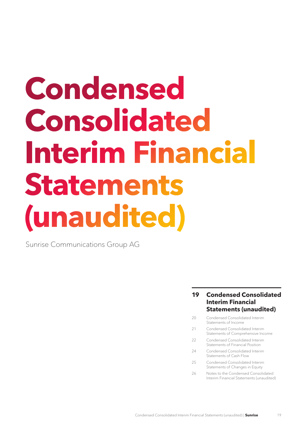# <span id="page-18-0"></span>**Condensed Consolidated Interim Financial Statements (unaudited)**

Sunrise Communications Group AG

- **19 Condensed Consolidated Interim Financial Statements (unaudited)**
- 20 [Condensed Consolidated Interim](#page-19-0)  [Statements of](#page-19-0) Income
- 21 Condensed Consolidated Interim [Statements of Comprehensive Income](#page-20-0)
- 22 [Condensed Consolidated Interim](#page-21-0)  [Statements of Financial Position](#page-21-0)
- 24 [Condensed Consolidated Interim](#page-23-0)  [Statements of](#page-23-0) Cash Flow
- 25 [Condensed Consolidated Interim](#page-24-0)  [Statements of](#page-24-0) Changes in Equity
- 26 Notes to the Condensed Consolidated Interim Financial [Statements \(unaudited\)](#page-25-0)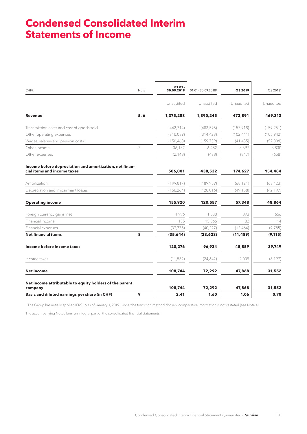## <span id="page-19-0"></span>**Condensed Consolidated Interim Statements of Income**

| <b>CHFk</b>                                                                            | Note | $01.01 -$<br>30.09.2019 | 01.01-30.09.20181 | Q3 2019    | Q3 2018 <sup>1</sup> |
|----------------------------------------------------------------------------------------|------|-------------------------|-------------------|------------|----------------------|
|                                                                                        |      | Unaudited               | Unaudited         | Unaudited  | Unaudited            |
| <b>Revenue</b>                                                                         | 5, 6 | 1,375,288               | 1,390,245         | 473,891    | 469,313              |
| Transmission costs and cost of goods sold                                              |      | (442, 714)              | (483, 595)        | (157, 918) | (159, 251)           |
| Other operating expenses                                                               |      | (310,089)               | (314, 423)        | (102, 441) | (105, 942)           |
| Wages, salaries and pension costs                                                      |      | (150, 468)              | (159, 739)        | (41, 455)  | (52,808)             |
| Other income                                                                           | 7    | 36,132                  | 6,482             | 3,397      | 3,830                |
| Other expenses                                                                         |      | (2, 148)                | (438)             | (847)      | (658)                |
| Income before depreciation and amortization, net finan-<br>cial items and income taxes |      | 506,001                 | 438,532           | 174,627    | 154,484              |
| Amortization                                                                           |      | (199, 817)              | (189, 959)        | (68, 121)  | (63, 423)            |
| Depreciation and impairment losses                                                     |      | (150, 264)              | (128, 016)        | (49, 158)  | (42, 197)            |
| <b>Operating income</b>                                                                |      | 155,920                 | 120,557           | 57,348     | 48,864               |
| Foreign currency gains, net                                                            |      | 1,996                   | 1,588             | 893        | 656                  |
| Financial income                                                                       |      | 135                     | 15,066            | 82         | 14                   |
| Financial expenses                                                                     |      | (37, 775)               | (40, 277)         | (12, 464)  | (9,785)              |
| <b>Net financial items</b>                                                             | 8    | (35,644)                | (23, 623)         | (11, 489)  | (9, 115)             |
| Income before income taxes                                                             |      | 120,276                 | 96,934            | 45,859     | 39,749               |
| Income taxes                                                                           |      | (11, 532)               | (24,642)          | 2,009      | (8, 197)             |
| <b>Net income</b>                                                                      |      | 108,744                 | 72,292            | 47,868     | 31,552               |
| Net income attributable to equity holders of the parent<br>company                     |      | 108,744                 | 72,292            | 47,868     | 31,552               |
| Basic and diluted earnings per share (in CHF)                                          | 9    | 2.41                    | 1.60              | 1.06       | 0.70                 |

1 The Group has initially applied IFRS 16 as of January 1, 2019. Under the transition method chosen, comparative information is not restated (see Note 4).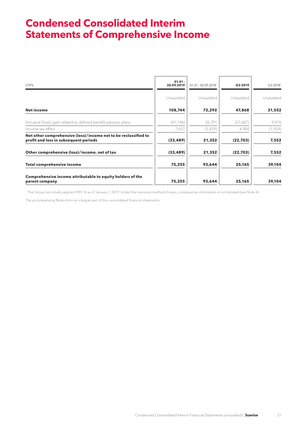# <span id="page-20-0"></span>**Condensed Consolidated Interim Statements of Comprehensive Income**

| <b>CHFk</b>                                                                                              | $01.01 -$<br>30.09.2019 | $01.01 - 30.09.2018$ <sup>1</sup> | Q3 2019   | Q32018 <sup>1</sup> |
|----------------------------------------------------------------------------------------------------------|-------------------------|-----------------------------------|-----------|---------------------|
|                                                                                                          | Unaudited               | Unaudited                         | Unaudited | Unaudited           |
| Net income                                                                                               | 108,744                 | 72,292                            | 47,868    | 31,552              |
| Actuarial (loss)/gain related to defined benefit pension plans                                           | (41, 146)               | 26,791                            | (27,687)  | 9,476               |
| Income tax effect                                                                                        | 7,657                   | (5,439)                           | 4,984     | (1,924)             |
| Net other comprehensive (loss)/income not to be reclassified to<br>profit and loss in subsequent periods | (33, 489)               | 21,352                            | (22,703)  | 7,552               |
| Other comprehensive (loss)/income, net of tax                                                            | (33, 489)               | 21,352                            | (22,703)  | 7,552               |
| <b>Total comprehensive income</b>                                                                        | 75,255                  | 93,644                            | 25,165    | 39,104              |
| Comprehensive income attributable to equity holders of the<br>parent company                             | 75,255                  | 93,644                            | 25,165    | 39,104              |

1 The Group has initially applied IFRS 16 as of January 1, 2019. Under the transition method chosen, comparative information is not restated (see Note 4).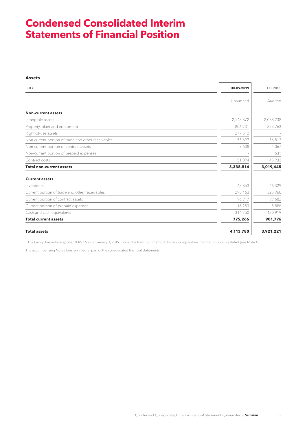## <span id="page-21-0"></span>**Condensed Consolidated Interim Statements of Financial Position**

#### **Assets**

| <b>CHFk</b>                                        | 30.09.2019 | 31.12.20181 |
|----------------------------------------------------|------------|-------------|
|                                                    | Unaudited  | Audited     |
| <b>Non-current assets</b>                          |            |             |
| Intangible assets                                  | 2,143,872  | 2,088,238   |
| Property, plant and equipment                      | 806,731    | 823,763     |
| Right-of-use assets                                | 277,512    |             |
| Non-current portion of trade and other receivables | 55,697     | 56,813      |
| Non-current portion of contract assets             | 3,608      | 4,067       |
| Non-current portion of prepaid expenses            |            | 631         |
| Contract costs                                     | 51,094     | 45,933      |
| <b>Total non-current assets</b>                    | 3,338,514  | 3,019,445   |
| <b>Current assets</b>                              |            |             |
| Inventories                                        | 48,853     | 46,329      |
| Current portion of trade and other receivables     | 298,463    | 325,960     |
| Current portion of contract assets                 | 96,917     | 99,682      |
| Current portion of prepaid expenses                | 16,283     | 8,886       |
| Cash and cash equivalents                          | 314,750    | 420,919     |
| <b>Total current assets</b>                        | 775,266    | 901,776     |
| <b>Total assets</b>                                | 4,113,780  | 3,921,221   |

1 The Group has initially applied IFRS 16 as of January 1, 2019. Under the transition method chosen, comparative information is not restated (see Note 4).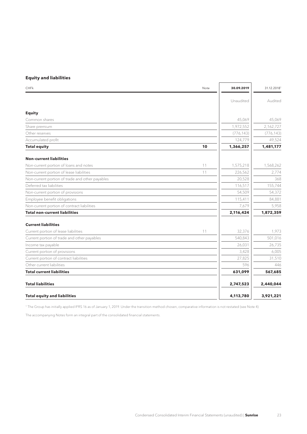## **Equity and liabilities**

| <b>CHFk</b>                                     | Note | 30.09.2019 | 31.12.20181 |
|-------------------------------------------------|------|------------|-------------|
|                                                 |      | Unaudited  | Audited     |
| <b>Equity</b>                                   |      |            |             |
| Common shares                                   |      | 45,069     | 45,069      |
| Share premium                                   |      | 1,972,552  | 2,162,727   |
| Other reserves                                  |      | (776, 143) | (776, 143)  |
| Accumulated profit                              |      | 124,779    | 49,524      |
| <b>Total equity</b>                             | 10   | 1,366,257  | 1,481,177   |
| <b>Non-current liabilities</b>                  |      |            |             |
| Non-current portion of loans and notes          | 11   | 1,575,218  | 1,568,262   |
| Non-current portion of lease liabilities        | 11   | 226,562    | 2,774       |
| Non-current portion of trade and other payables |      | 20,528     | 368         |
| Deferred tax liabilities                        |      | 116,517    | 155,744     |
| Non-current portion of provisions               |      | 54,509     | 54,372      |
| Employee benefit obligations                    |      | 115,411    | 84,881      |
| Non-current portion of contract liabilities     |      | 7,679      | 5,958       |
| <b>Total non-current liabilities</b>            |      | 2,116,424  | 1,872,359   |
| <b>Current liabilities</b>                      |      |            |             |
| Current portion of lease liabilities            | 11   | 32,376     | 1,973       |
| Current portion of trade and other payables     |      | 540,843    | 501,016     |
| Income tax payable                              |      | 26,031     | 26,735      |
| Current portion of provisions                   |      | 3,428      | 6,005       |
| Current portion of contract liabilities         |      | 27,825     | 31,510      |
| Other current liabilities                       |      | 596        | 446         |
| <b>Total current liabilities</b>                |      | 631,099    | 567,685     |
| <b>Total liabilities</b>                        |      | 2,747,523  | 2,440,044   |
| <b>Total equity and liabilities</b>             |      | 4,113,780  | 3,921,221   |

1 The Group has initially applied IFRS 16 as of January 1, 2019. Under the transition method chosen, comparative information is not restated (see Note 4).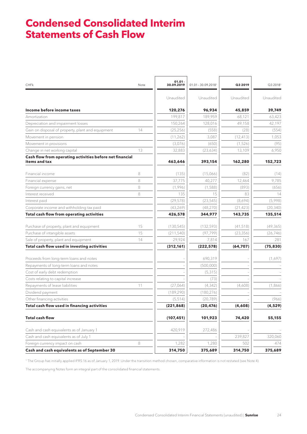## <span id="page-23-0"></span>**Condensed Consolidated Interim Statements of Cash Flow**

| CHFk                                                                      | Note    | $01.01 -$<br>30.09.2019 | $01.01 - 30.09.2018$ <sup>1</sup> | Q3 2019   | Q32018 <sup>1</sup> |
|---------------------------------------------------------------------------|---------|-------------------------|-----------------------------------|-----------|---------------------|
|                                                                           |         | Unaudited               | Unaudited                         | Unaudited | Unaudited           |
| Income before income taxes                                                |         | 120,276                 | 96,934                            | 45,859    | 39,749              |
| Amortization                                                              |         | 199,817                 | 189,959                           | 68,121    | 63,423              |
| Depreciation and impairment losses                                        |         | 150,264                 | 128,016                           | 49,158    | 42,197              |
| Gain on disposal of property, plant and equipment                         | 14      | (25, 256)               | (558)                             | (28)      | (554)               |
| Movement in pension                                                       |         | (11, 262)               | 3,087                             | (12, 413) | 1,053               |
| Movement in provisions                                                    |         | (3,076)                 | (650)                             | (1,526)   | (95)                |
| Change in net working capital                                             | 13      | 32,883                  | (23, 634)                         | 13,109    | 6,950               |
| Cash flow from operating activities before net financial<br>items and tax |         | 463,646                 | 393,154                           | 162,280   | 152,723             |
| Financial income                                                          | 8       | (135)                   | (15,066)                          | (82)      | (14)                |
| Financial expense                                                         | 8       | 37,775                  | 40,277                            | 12,464    | 9,785               |
| Foreign currency gains, net                                               | 8       | (1,996)                 | (1,588)                           | (893)     | (656)               |
| Interest received                                                         | 8       | 135                     | 15                                | 83        | 14                  |
| Interest paid                                                             |         | (29, 578)               | (23, 545)                         | (8,694)   | (5,998)             |
| Corporate income and withholding tax paid                                 |         | (43, 269)               | (48, 270)                         | (21, 423) | (20, 340)           |
| Total cash flow from operating activities                                 |         | 426,578                 | 344,977                           | 143,735   | 135,514             |
| Purchase of property, plant and equipment                                 | 15      | (130, 545)              | (132, 593)                        | (41,518)  | (49, 365)           |
| Purchase of intangible assets                                             | 15      | (211,540)               | (97, 799)                         | (23, 356) | (26, 746)           |
| Sale of property, plant and equipment                                     | 14      | 29,924                  | 7,814                             | 167       | 281                 |
| Total cash flow used in investing activities                              |         | (312, 161)              | (222, 578)                        | (64, 707) | (75, 830)           |
| Proceeds from long-term loans and notes                                   |         |                         | 690,319                           |           | (1,697)             |
| Repayments of long-term loans and notes                                   |         |                         | (500,000)                         |           |                     |
| Cost of early debt redemption                                             |         |                         | (5, 315)                          |           |                     |
| Costs relating to capital increase                                        |         |                         | (73)                              |           |                     |
| Repayments of lease liabilities                                           | 11      | (27,064)                | (4, 342)                          | (4,608)   | (1,866)             |
| Dividend payment                                                          |         | (189, 290)              | (180, 276)                        |           |                     |
| Other financing activities                                                |         | (5,514)                 | (20, 789)                         |           | (966)               |
| Total cash flow used in financing activities                              |         | (221, 868)              | (20, 476)                         | (4,608)   | (4, 529)            |
| <b>Total cash flow</b>                                                    |         | (107, 451)              | 101,923                           | 74,420    | 55,155              |
| Cash and cash equivalents as of January 1                                 |         | 420,919                 | 272,486                           |           |                     |
| Cash and cash equivalents as of July 1                                    |         |                         |                                   | 239,827   | 320,060             |
| Foreign currency impact on cash                                           | $\,8\,$ | 1,282                   | 1,280                             | 502       | 474                 |
| Cash and cash equivalents as of September 30                              |         | 314,750                 | 375,689                           | 314,750   | 375,689             |

1 The Group has initially applied IFRS 16 as of January 1, 2019. Under the transition method chosen, comparative information is not restated (see Note 4).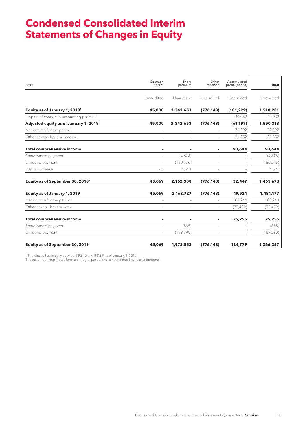# <span id="page-24-0"></span>**Condensed Consolidated Interim Statements of Changes in Equity**

| <b>CHFk</b>                                          | Common<br>shares         | Share<br>premium         | Other<br>reserves        | Accumulated<br>profit/(deficit) | Total      |
|------------------------------------------------------|--------------------------|--------------------------|--------------------------|---------------------------------|------------|
|                                                      | Unaudited                | Unaudited                | Unaudited                | Unaudited                       | Unaudited  |
| Equity as of January 1, 2018 <sup>1</sup>            | 45,000                   | 2,342,653                | (776, 143)               | (101, 229)                      | 1,510,281  |
| Impact of change in accounting policies <sup>1</sup> |                          |                          |                          | 40,032                          | 40,032     |
| Adjusted equity as of January 1, 2018                | 45,000                   | 2,342,653                | (776, 143)               | (61, 197)                       | 1,550,313  |
| Net income for the period                            |                          |                          |                          | 72,292                          | 72,292     |
| Other comprehensive income                           | $\overline{\phantom{a}}$ | $\overline{\phantom{a}}$ | $\overline{\phantom{a}}$ | 21,352                          | 21,352     |
| <b>Total comprehensive income</b>                    |                          |                          |                          | 93,644                          | 93,644     |
| Share-based payment                                  | ÷                        | (4,628)                  | $\overline{\phantom{a}}$ |                                 | (4,628)    |
| Dividend payment                                     | $\overline{\phantom{m}}$ | (180, 276)               |                          |                                 | (180, 276) |
| Capital increase                                     | 69                       | 4,551                    | $\overline{\phantom{a}}$ |                                 | 4,620      |
| Equity as of September 30, 2018 <sup>1</sup>         | 45,069                   | 2,162,300                | (776, 143)               | 32,447                          | 1,463,673  |
| <b>Equity as of January 1, 2019</b>                  | 45,069                   | 2,162,727                | (776, 143)               | 49,524                          | 1,481,177  |
| Net income for the period                            |                          |                          |                          | 108,744                         | 108,744    |
| Other comprehensive loss                             |                          |                          |                          | (33, 489)                       | (33, 489)  |
| <b>Total comprehensive income</b>                    |                          |                          |                          | 75,255                          | 75,255     |
| Share-based payment                                  |                          | (885)                    |                          |                                 | (885)      |
| Dividend payment                                     |                          | (189, 290)               |                          |                                 | (189, 290) |
| <b>Equity as of September 30, 2019</b>               | 45,069                   | 1,972,552                | (776, 143)               | 124,779                         | 1,366,257  |

1 The Group has initially applied IFRS 15 and IFRS 9 as of January 1, 2018.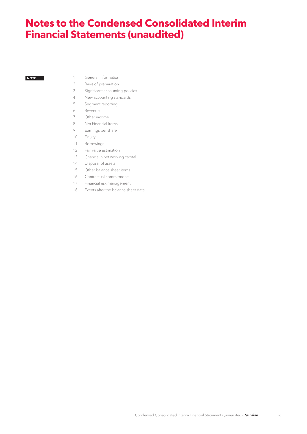## <span id="page-25-0"></span>**Notes to the Condensed Consolidated Interim Financial Statements (unaudited)**

#### **NOTE**

- [General information](#page-26-0)
- [Basis of preparation](#page-26-0)
- [Significant accounting policies](#page-27-0)
- [New accounting standards](#page-27-0)
- [Segment reporting](#page-31-0)
- [Revenue](#page-34-0)
- [Other income](#page-34-0)
- [Net Financial Items](#page-35-0)
- [Earnings per share](#page-36-0)
- [Equity](#page-37-0)
- [Borrowings](#page-38-0)
- [Fair value estimation](#page-38-0)
- [Change in net working capital](#page-40-0)
- [Disposal of assets](#page-40-0)
- [Other balance sheet items](#page-40-0)
- [Contractual commitments](#page-41-0)
- [Financial risk management](#page-41-0)
- [Events after the balance sheet date](#page-41-0)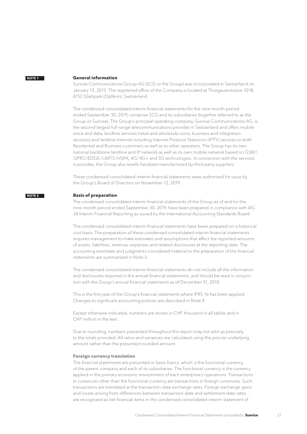#### <span id="page-26-0"></span>**General information**

Sunrise Communications Group AG (SCG or the Group) was incorporated in Switzerland on January 13, 2015. The registered office of the Company is located at Thurgauerstrasse 101B, 8152 Glattpark (Opfikon), Switzerland.

The condensed consolidated interim financial statements for the nine-month period ended September 30, 2019, comprise SCG and its subsidiaries (together referred to as the Group or Sunrise). The Group's principal operating company, Sunrise Communications AG, is the second-largest full-range telecommunications provider in Switzerland and offers mobile voice and data, landline services (retail and wholesale voice, business and integration services) and landline Internet including Internet Protocol Television (IPTV) services to both Residential and Business customers as well as to other operators. The Group has its own national backbone landline and IP network as well as its own mobile network based on GSM/ GPRS/EDGE/UMTS/HSPA, 4G/4G+ and 5G technologies. In connection with the services it provides, the Group also resells handsets manufactured by third party suppliers.

These condensed consolidated interim financial statements were authorized for issue by the Group's Board of Directors on November 12, 2019.

#### **Basis of preparation NOTE 2**

The condensed consolidated interim financial statements of the Group as of and for the nine-month period ended September 30, 2019, have been prepared in compliance with IAS 34 Interim Financial Reporting as issued by the International Accounting Standards Board.

The condensed consolidated interim financial statements have been prepared on a historical cost basis. The preparation of these condensed consolidated interim financial statements requires management to make estimates and assumptions that affect the reported amounts of assets, liabilities, revenue, expenses and related disclosures at the reporting date. The accounting estimates and judgments considered material to the preparation of the financial statements are summarized in Note 3.

The condensed consolidated interim financial statements do not include all the information and disclosures required in the annual financial statements, and should be read in conjunction with the Group's annual financial statements as of December 31, 2018.

This is the first year of the Group's financial statements where IFRS 16 has been applied. Changes to significant accounting policies are described in Note 4.

Except otherwise indicated, numbers are shown in CHF thousand in all tables and in CHF million in the text.

Due to rounding, numbers presented throughout this report may not add up precisely to the totals provided. All ratios and variances are calculated using the precise underlying amount rather than the presented rounded amount.

#### **Foreign currency translation**

The financial statements are presented in Swiss francs, which is the functional currency of the parent company and each of its subsidiaries. The functional currency is the currency applied in the primary economic environment of each enterprise's operations. Transactions in currencies other than the functional currency are transactions in foreign currencies. Such transactions are translated at the transaction-date exchange rates. Foreign exchange gains and losses arising from differences between transaction-date and settlement-date rates are recognized as net financial items in the condensed consolidated interim statement of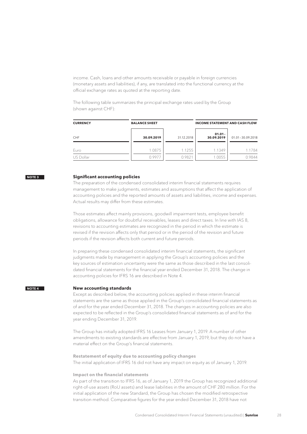<span id="page-27-0"></span>income. Cash, loans and other amounts receivable or payable in foreign currencies (monetary assets and liabilities), if any, are translated into the functional currency at the official exchange rates as quoted at the reporting date.

The following table summarizes the principal exchange rates used by the Group (shown against CHF):

| <b>CURRENCY</b> | <b>INCOME STATEMENT AND CASH FLOW</b><br><b>BALANCE SHEET</b> |            |                         |                  |
|-----------------|---------------------------------------------------------------|------------|-------------------------|------------------|
| CHF             | 30.09.2019                                                    | 31.12.2018 | $01.01 -$<br>30.09.2019 | 01.01-30.09.2018 |
| Euro            | 1.0875                                                        | 1.1255     | 1.1349                  | 1.1784           |
| US Dollar       | 0.9977                                                        | 0.9821     | 1.0055                  | 0.9844           |

#### **NOTE 3**

#### **Significant accounting policies**

The preparation of the condensed consolidated interim financial statements requires management to make judgments, estimates and assumptions that affect the application of accounting policies and the reported amounts of assets and liabilities, income and expenses. Actual results may differ from these estimates.

Those estimates affect mainly provisions, goodwill impairment tests, employee benefit obligations, allowance for doubtful receivables, leases and direct taxes. In line with IAS 8, revisions to accounting estimates are recognized in the period in which the estimate is revised if the revision affects only that period or in the period of the revision and future periods if the revision affects both current and future periods.

In preparing these condensed consolidated interim financial statements, the significant judgments made by management in applying the Group's accounting policies and the key sources of estimation uncertainty were the same as those described in the last consolidated financial statements for the financial year ended December 31, 2018. The change in accounting policies for IFRS 16 are described in Note 4.

#### **New accounting standards NOTE 4**

Except as described below, the accounting policies applied in these interim financial statements are the same as those applied in the Group's consolidated financial statements as of and for the year ended December 31, 2018. The changes in accounting policies are also expected to be reflected in the Group's consolidated financial statements as of and for the year ending December 31, 2019.

The Group has initially adopted IFRS 16 Leases from January 1, 2019. A number of other amendments to existing standards are effective from January 1, 2019, but they do not have a material effect on the Group's financial statements.

**Restatement of equity due to accounting policy changes** The initial application of IFRS 16 did not have any impact on equity as of January 1, 2019.

#### **Impact on the financial statements**

As part of the transition to IFRS 16, as of January 1, 2019 the Group has recognized additional right-of-use assets (RoU assets) and lease liabilities in the amount of CHF 280 million. For the initial application of the new Standard, the Group has chosen the modified retrospective transition method. Comparative figures for the year ended December 31, 2018 have not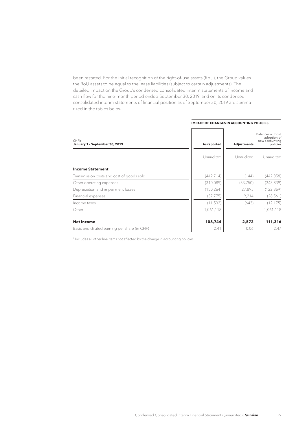been restated. For the initial recognition of the right-of-use assets (RoU), the Group values the RoU assets to be equal to the lease liabilities (subject to certain adjustments). The detailed impact on the Group's condensed consolidated interim statements of income and cash flow for the nine-month period ended September 30, 2019, and on its condensed consolidated interim statements of financial position as of September 30, 2019 are summarized in the tables below.

|                                              | <b>IMPACT OF CHANGES IN ACCOUNTING POLICIES</b> |                          |                                                               |
|----------------------------------------------|-------------------------------------------------|--------------------------|---------------------------------------------------------------|
| CHFk<br>January 1 - September 30, 2019       | As reported                                     | <b>Adjustments</b>       | Balances without<br>adoption of<br>new accounting<br>policies |
|                                              | Unaudited                                       | Unaudited                | Unaudited                                                     |
| <b>Income Statement</b>                      |                                                 |                          |                                                               |
| Transmission costs and cost of goods sold    | (442, 714)                                      | (144)                    | (442, 858)                                                    |
| Other operating expenses                     | (310,089)                                       | (33,750)                 | (343,839)                                                     |
| Depreciation and impairment losses           | (150, 264)                                      | 27,895                   | (122, 369)                                                    |
| Financial expenses                           | (37, 775)                                       | 9,214                    | (28, 561)                                                     |
| Income taxes                                 | (11, 532)                                       | (643)                    | (12, 175)                                                     |
| Other <sup>1</sup>                           | 1,061,118                                       | $\overline{\phantom{a}}$ | 1,061,118                                                     |
| Net income                                   | 108,744                                         | 2,572                    | 111,316                                                       |
| Basic and diluted earning per share (in CHF) | 2.41                                            | 0.06                     | 2.47                                                          |

<sup>1</sup> Includes all other line items not affected by the change in accounting policies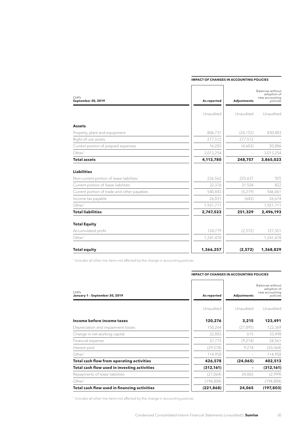| <b>CHFK</b><br>September 30, 2019           | As reported | <b>Adjustments</b>       | Balances without<br>adoption of<br>new accounting<br>policies |
|---------------------------------------------|-------------|--------------------------|---------------------------------------------------------------|
|                                             | Unaudited   | Unaudited                | Unaudited                                                     |
| <b>Assets</b>                               |             |                          |                                                               |
| Property, plant and equipment               | 806,731     | (24, 152)                | 830,883                                                       |
| Right-of-use assets                         | 277,512     | 277,512                  |                                                               |
| Current portion of prepaid expenses         | 16,283      | (4,603)                  | 20,886                                                        |
| Other <sup>1</sup>                          | 3,013,254   |                          | 3,013,254                                                     |
| <b>Total assets</b>                         | 4,113,780   | 248,757                  | 3,865,023                                                     |
| <b>Liabilities</b>                          |             |                          |                                                               |
| Non-current portion of lease liabilities    | 226,562     | 225,637                  | 925                                                           |
| Current portion of lease liabilities        | 32,376      | 31,554                   | 822                                                           |
| Current portion of trade and other payables | 540,843     | (5, 219)                 | 546,061                                                       |
| Income tax payable                          | 26,031      | (643)                    | 26,674                                                        |
| Other <sup>1</sup>                          | 1,921,711   |                          | 1,921,711                                                     |
| <b>Total liabilities</b>                    | 2,747,523   | 251,329                  | 2,496,193                                                     |
| <b>Total Equity</b>                         |             |                          |                                                               |
| Accumulated profit                          | 124,779     | (2,572)                  | 127,351                                                       |
| Other <sup>1</sup>                          | 1,241,478   | $\overline{\phantom{m}}$ | 1,241,478                                                     |
| <b>Total equity</b>                         | 1,366,257   | (2,572)                  | 1,368,829                                                     |

#### **IMPACT OF CHANGES IN ACCOUNTING POLICIES**

1 Includes all other line items not affected by the change in accounting policies

| CHFk<br>January 1 - September 30, 2019       | As reported | <b>Adjustments</b> | Balances without<br>adoption of<br>new accounting<br>policies |
|----------------------------------------------|-------------|--------------------|---------------------------------------------------------------|
|                                              | Unaudited   | Unaudited          | Unaudited                                                     |
| Income before income taxes                   | 120,276     | 3,215              | 123,491                                                       |
| Depreciation and impairment losses           | 150,264     | (27, 895)          | 122,369                                                       |
| Change in net working capital                | 32,883      | 615                | 33,498                                                        |
| Financial expense                            | 37,775      | (9,214)            | 28,561                                                        |
| Interest paid                                | (29, 578)   | 9,214              | (20, 364)                                                     |
| Other <sup>1</sup>                           | 114,958     |                    | 114,958                                                       |
| Total cash flow from operating activities    | 426,578     | (24, 065)          | 402,513                                                       |
| Total cash flow used in investing activities | (312, 161)  |                    | (312, 161)                                                    |
| Repayments of lease liabilities              | (27,064)    | 24,065             | (2,999)                                                       |
| Other <sup>1</sup>                           | (194, 804)  |                    | (194, 804)                                                    |
| Total cash flow used in financing activities | (221, 868)  | 24,065             | (197, 803)                                                    |

#### **IMPACT OF CHANGES IN ACCOUNTING POLICIES**

<sup>1</sup> Includes all other line items not affected by the change in accounting policies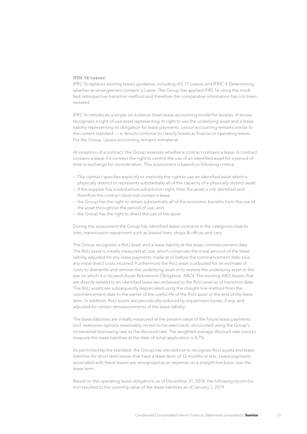#### **IFRS 16 Leases**

IFRS 16 replaces existing leases guidance, including IAS 17 Leases and IFRIC 4 Determining whether an arrangement contains a Lease. The Group has applied IFRS 16 using the modified retrospective transition method and therefore the comparative information has not been restated.

IFRS 16 introduces a single, on-balance sheet lease accounting model for lessees. A lessee recognizes a right-of-use asset representing its right to use the underlying asset and a lease liability representing its obligation for lease payments. Lessor accounting remains similar to the current standard – i.e. lessors continue to classify leases as finance or operating leases. For the Group, Lessor accounting remains immaterial.

At inception of a contract, the Group assesses whether a contract contains a lease. A contract contains a lease if it conveys the right to control the use of an identified asset for a period of time in exchange for consideration. This assessment is based on following criteria:

- The contract specifies explicitly or implicitly the right to use an identified asset which is physically distinct or represents substantially all of the capacity of a physically distinct asset
- If the supplier has a substantive substitution right, then the asset is not identified and therefore the contract does not contain a lease
- the Group has the right to obtain substantially all of the economic benefits from the use of the asset throughout the period of use; and
- the Group has the right to direct the use of the asset.

During the assessment the Group has identified lease contracts in the categories mobile sites, transmission equipment such as leased lines, shops & offices and cars.

The Group recognizes a RoU asset and a lease liability at the lease commencement date. The RoU asset is initially measured at cost, which comprises the initial amount of the lease liability adjusted for any lease payments made at or before the commencement date, plus any initial direct costs incurred. Furthermore the RoU asset is adjusted for an estimate of costs to dismantle and remove the underlying asset or to restore the underlying asset or the site on which it is located (Asset Retirement Obligation, ARO). The existing ARO Assets that are directly related to an identified lease are reclassed to the RoU asset as of transition date. The RoU assets are subsequently depreciated using the straight-line method from the commencement date to the earlier of the useful life of the RoU asset or the end of the lease term. In addition, RoU assets are periodically reduced by impairment losses, if any, and adjusted for certain remeasurements of the lease liability.

The lease liabilities are initially measured at the present value of the future lease payments (incl. extension options reasonably certain to be exercised), discounted using the Group's incremental borrowing rate as the discount rate. The weighted average discount rate used to measure the lease liabilities at the date of initial application is 4.7%.

As permitted by the standard, the Group has elected not to recognize RoU assets and lease liabilities for short term leases that have a lease term of 12 months or less. Lease payments associated with these leases are recognized as an expense on a straight-line basis over the lease term.

Based on the operating lease obligations as of December 31, 2018, the following reconciliation resulted to the opening value of the lease liabilities as of January 1, 2019.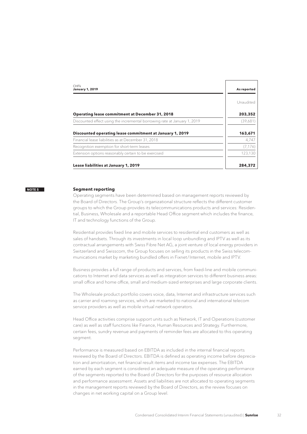<span id="page-31-0"></span>

| <b>CHF<sub>k</sub></b><br><b>January 1, 2019</b>                          | As reported |
|---------------------------------------------------------------------------|-------------|
|                                                                           | Unaudited   |
| <b>Operating lease commitment at December 31, 2018</b>                    | 203,352     |
| Discounted effect using the incremental borrowing rate at January 1, 2019 | (39,681)    |
| Discounted operating lease commitment at January 1, 2019                  | 163,671     |
| Financial lease liabilities as at December 31, 2018                       | 4,747       |
| Recognition exemption for short-term leases                               | (7, 176)    |
| Extension options reasonably certain to be exercised                      | 123,130     |
| Lease liabilities at January 1, 2019                                      | 284,372     |

#### **Segment reporting NOTE 5**

Operating segments have been determined based on management reports reviewed by the Board of Directors. The Group's organizational structure reflects the different customer groups to which the Group provides its telecommunications products and services: Residential, Business, Wholesale and a reportable Head Office segment which includes the finance, IT and technology functions of the Group.

Residential provides fixed line and mobile services to residential end customers as well as sales of handsets. Through its investments in local loop unbundling and IPTV as well as its contractual arrangements with Swiss Fibre Net AG, a joint venture of local energy providers in Switzerland and Swisscom, the Group focuses on selling its products in the Swiss telecommunications market by marketing bundled offers in Fixnet/Internet, mobile and IPTV.

Business provides a full range of products and services, from fixed-line and mobile communications to Internet and data services as well as integration services to different business areas: small office and home office, small and medium-sized enterprises and large corporate clients.

The Wholesale product portfolio covers voice, data, Internet and infrastructure services such as carrier and roaming services, which are marketed to national and international telecom service providers as well as mobile virtual network operators.

Head Office activities comprise support units such as Network, IT and Operations (customer care) as well as staff functions like Finance, Human Resources and Strategy. Furthermore, certain fees, sundry revenue and payments of reminder fees are allocated to this operating segment.

Performance is measured based on EBITDA as included in the internal financial reports reviewed by the Board of Directors. EBITDA is defined as operating income before depreciation and amortization, net financial result items and income tax expenses. The EBITDA earned by each segment is considered an adequate measure of the operating performance of the segments reported to the Board of Directors for the purposes of resource allocation and performance assessment. Assets and liabilities are not allocated to operating segments in the management reports reviewed by the Board of Directors, as the review focuses on changes in net working capital on a Group level.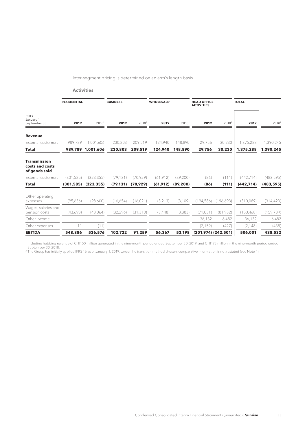Inter-segment pricing is determined on an arm's length basis

**Activities**

|                                                         | <b>RESIDENTIAL</b> |                   | <b>BUSINESS</b> |                   | <b>WHOLESALE<sup>1</sup></b> |                   | <b>HEAD OFFICE</b><br><b>ACTIVITIES</b> |                   | <b>TOTAL</b> |                   |
|---------------------------------------------------------|--------------------|-------------------|-----------------|-------------------|------------------------------|-------------------|-----------------------------------------|-------------------|--------------|-------------------|
| CHFk<br>January 1 -<br>September 30                     | 2019               | 2018 <sup>2</sup> | 2019            | 2018 <sup>2</sup> | 2019                         | 2018 <sup>2</sup> | 2019                                    | 2018 <sup>2</sup> | 2019         | 2018 <sup>2</sup> |
| <b>Revenue</b>                                          |                    |                   |                 |                   |                              |                   |                                         |                   |              |                   |
| External customers                                      | 989,789            | 1,001,606         | 230,803         | 209,519           | 124,940                      | 148,890           | 29,756                                  | 30,230            | 1,375,288    | 1,390,245         |
| Total                                                   | 989,789            | 1,001,606         | 230,803         | 209,519           | 124,940                      | 148,890           | 29,756                                  | 30,230            | 1,375,288    | 1,390,245         |
| <b>Transmission</b><br>costs and costs<br>of goods sold |                    |                   |                 |                   |                              |                   |                                         |                   |              |                   |
| External customers                                      | (301, 585)         | (323, 355)        | (79, 131)       | (70, 929)         | (61, 912)                    | (89, 200)         | (86)                                    | (111)             | (442, 714)   | (483, 595)        |
| Total                                                   | (301, 585)         | (323, 355)        | (79, 131)       | (70, 929)         | (61, 912)                    | (89, 200)         | (86)                                    | (111)             | (442, 714)   | (483, 595)        |
| Other operating<br>expenses                             | (95,636)           | (98,600)          | (16,654)        | (16, 021)         | (3, 213)                     | (3, 109)          | (194, 586)                              | (196,693)         | (310,089)    | (314, 423)        |
| Wages, salaries and<br>pension costs                    | (43,693)           | (43,064)          | (32, 296)       | (31, 310)         | (3,448)                      | (3,383)           | (71, 031)                               | (81,982)          | (150, 468)   | (159, 739)        |
| Other income                                            |                    |                   |                 |                   |                              |                   | 36,132                                  | 6,482             | 36,132       | 6,482             |
| Other expenses                                          | 11                 | (11)              |                 |                   |                              |                   | (2, 159)                                | (427)             | (2, 148)     | (438)             |
| <b>EBITDA</b>                                           | 548,886            | 536,576           | 102,722         | 91,259            | 56,367                       | 53,198            | $(201,974)$ $(242,501)$                 |                   | 506,001      | 438,532           |

1 Including hubbing revenue of CHF 50 million generated in the nine-month period ended September 30, 2019, and CHF 73 million in the nine-month period ended

September 30, 2018. 2 The Group has initially applied IFRS 16 as of January 1, 2019. Under the transition method chosen, comparative information is not restated (see Note 4).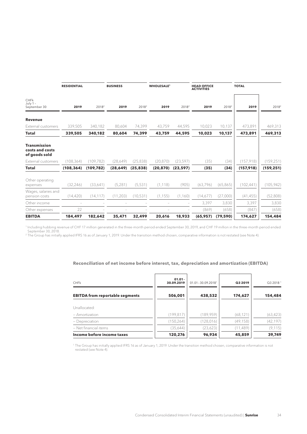|                                                         | <b>RESIDENTIAL</b> |                   | <b>BUSINESS</b> |                   | <b>WHOLESALE<sup>1</sup></b> |                   | <b>HEAD OFFICE</b><br><b>ACTIVITIES</b> |                   | <b>TOTAL</b> |                   |
|---------------------------------------------------------|--------------------|-------------------|-----------------|-------------------|------------------------------|-------------------|-----------------------------------------|-------------------|--------------|-------------------|
| <b>CHFk</b><br>July $1 -$<br>September 30               | 2019               | 2018 <sup>2</sup> | 2019            | 2018 <sup>2</sup> | 2019                         | 2018 <sup>2</sup> | 2019                                    | 2018 <sup>2</sup> | 2019         | 2018 <sup>2</sup> |
| <b>Revenue</b>                                          |                    |                   |                 |                   |                              |                   |                                         |                   |              |                   |
| External customers                                      | 339,505            | 340,182           | 80,604          | 74,399            | 43,759                       | 44,595            | 10,023                                  | 10,137            | 473,891      | 469,313           |
| Total                                                   | 339,505            | 340,182           | 80.604          | 74,399            | 43,759                       | 44,595            | 10,023                                  | 10,137            | 473,891      | 469,313           |
| <b>Transmission</b><br>costs and costs<br>of goods sold |                    |                   |                 |                   |                              |                   |                                         |                   |              |                   |
| External customers                                      | (108, 364)         | (109, 782)        | (28,649)        | (25, 838)         | (20, 870)                    | (23, 597)         | (35)                                    | (34)              | (157, 918)   | (159, 251)        |
| <b>Total</b>                                            | (108, 364)         | (109, 782)        | (28, 649)       | (25, 838)         | (20, 870)                    | (23, 597)         | (35)                                    | (34)              | (157, 918)   | (159, 251)        |
| Other operating<br>expenses                             | (32, 246)          | (33,641)          | (5,281)         | (5,531)           | (1, 118)                     | (905)             | (63, 796)                               | (65,865)          | (102, 441)   | (105, 942)        |
| Wages, salaries and<br>pension costs                    | (14, 420)          | (14, 117)         | (11, 203)       | (10, 531)         | (1, 155)                     | (1,160)           | (14,677)                                | (27,000)          | (41, 455)    | (52,808)          |
| Other income                                            |                    |                   |                 |                   |                              |                   | 3,397                                   | 3,830             | 3,397        | 3,830             |
| Other expenses                                          | 22                 |                   |                 |                   |                              |                   | (869)                                   | (658)             | (847)        | (658)             |
| <b>EBITDA</b>                                           | 184,497            | 182,642           | 35,471          | 32,499            | 20,616                       | 18,933            | (65, 957)                               | (79, 590)         | 174,627      | 154,484           |

1 Including hubbing revenue of CHF 17 million generated in the three-month period ended September 30, 2019, and CHF 19 million in the three-month period ended September 30, 2018.<br><sup>2</sup> The Group has initially applied IFRS 16 as of January 1, 2019. Under the transition method chosen, comparative information is not restated (see Note 4).

#### **Reconciliation of net income before interest, tax, depreciation and amortization (EBITDA)**

| <b>CHFK</b>                            | $01.01 -$<br>30.09.2019 | $01.01 - 30.09.2018$ <sup>1</sup> | Q3 2019   | Q32018 <sup>1</sup> |
|----------------------------------------|-------------------------|-----------------------------------|-----------|---------------------|
| <b>EBITDA from reportable segments</b> | 506,001                 | 438,532                           | 174,627   | 154,484             |
| Unallocated:                           |                         |                                   |           |                     |
| $-$ Amortization                       | (199, 817)              | (189, 959)                        | (68, 121) | (63, 423)           |
| - Depreciation                         | (150, 264)              | (128, 016)                        | (49, 158) | (42, 197)           |
| - Net financial items                  | (35,644)                | (23,623)                          | (11, 489) | (9, 115)            |
| Income before income taxes             | 120,276                 | 96,934                            | 45,859    | 39,749              |

1 The Group has initially applied IFRS 16 as of January 1, 2019. Under the transition method chosen, comparative information is not restated (see Note 4).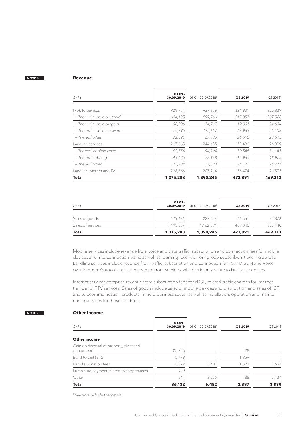#### <span id="page-34-0"></span>**Revenue**

| <b>CHFK</b>               | $01.01 -$<br>30.09.2019 | $01.01 - 30.09.2018$ <sup>1</sup> | Q3 2019 | Q32018 <sup>1</sup> |
|---------------------------|-------------------------|-----------------------------------|---------|---------------------|
|                           |                         |                                   |         |                     |
| Mobile services           | 928,957                 | 937,876                           | 324,931 | 320,839             |
| - Thereof mobile postpaid | 624,135                 | 599,766                           | 215,357 | 207,528             |
| - Thereof mobile prepaid  | 58,006                  | 74,717                            | 19,001  | 24,634              |
| - Thereof mobile hardware | 174,795                 | 195,857                           | 63,963  | 65,103              |
| – Thereof other           | 72,021                  | 67,536                            | 26,610  | 23,575              |
| Landline services         | 217,665                 | 244,655                           | 72,486  | 76,899              |
| - Thereof landline voice  | 92,756                  | 94,294                            | 30,545  | 31,147              |
| - Thereof hubbing         | 49,625                  | 72,968                            | 16,965  | 18,975              |
| - Thereof other           | 75,284                  | 77,393                            | 24,976  | 26,777              |
| Landline internet and TV  | 228,666                 | 207,714                           | 76,474  | 71,575              |
| <b>Total</b>              | 1,375,288               | 1,390,245                         | 473,891 | 469,313             |

| <b>CHFK</b>       | $01.01 -$<br>30.09.2019 | $01.01 - 30.09.2018$ <sup>1</sup> | Q3 2019 | Q32018 <sup>1</sup> |
|-------------------|-------------------------|-----------------------------------|---------|---------------------|
| Sales of goods    | 179,431                 | 227,654                           | 64,551  | 75,873              |
| Sales of services | 1,195,857               | 1,162,591                         | 409,340 | 393,440             |
| <b>Total</b>      | 1,375,288               | 1,390,245                         | 473,891 | 469,313             |

Mobile services include revenue from voice and data traffic, subscription and connection fees for mobile devices and interconnection traffic as well as roaming revenue from group subscribers traveling abroad. Landline services include revenue from traffic, subscription and connection for PSTN/ISDN and Voice over Internet Protocol and other revenue from services, which primarily relate to business services.

Internet services comprise revenue from subscription fees for xDSL, related traffic charges for Internet traffic and IPTV services. Sales of goods include sales of mobile devices and distribution and sales of ICT and telecommunication products in the e-business sector as well as installation, operation and maintenance services for these products.

## **NOTE 7**

## **Other income**

| <b>CHFK</b>                                                       | $01.01 -$<br>30.09.2019 | $01.01 - 30.09.2018$ <sup>1</sup> | Q3 2019 | Q3 2018 |
|-------------------------------------------------------------------|-------------------------|-----------------------------------|---------|---------|
| Other income                                                      |                         |                                   |         |         |
| Gain on disposal of property, plant and<br>equipment <sup>1</sup> | 25,256                  | $\overline{\phantom{a}}$          | 28      |         |
| Build-to-Suit (BTS)                                               | 5,479                   |                                   | 1,859   |         |
| Early termination fees                                            | 3,822                   | 3,407                             | 1,323   | 1,693   |
| Lump sum payment related to shop transfer                         | 929                     |                                   |         |         |
| Other                                                             | 647                     | 3,075                             | 188     | 2,137   |
| <b>Total</b>                                                      | 36,132                  | 6,482                             | 3,397   | 3,830   |

<sup>1</sup> See Note 14 for further details.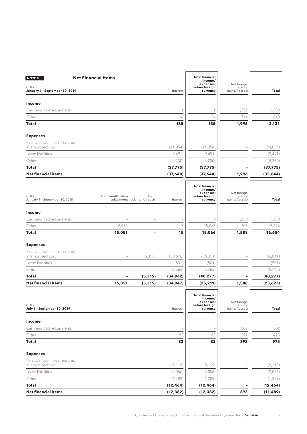<span id="page-35-0"></span>

| <b>NOTE 8</b>                                 | <b>Net Financial Items</b>                       |                          |              | <b>Total financial</b><br>income/<br>(expenses)                               | Net foreign                               |           |
|-----------------------------------------------|--------------------------------------------------|--------------------------|--------------|-------------------------------------------------------------------------------|-------------------------------------------|-----------|
| <b>CHFk</b><br>January 1 - September 30, 2019 |                                                  |                          | Interest     | before foreign<br>currency                                                    | currency<br>gains/(losses)                | Total     |
| <b>Income</b>                                 |                                                  |                          |              |                                                                               |                                           |           |
| Cash and cash equivalents                     |                                                  |                          | $\mathbf{1}$ | 1                                                                             | 1,282                                     | 1,283     |
| Other                                         |                                                  |                          | 134          | 134                                                                           | 714                                       | 848       |
| Total                                         |                                                  |                          | 135          | 135                                                                           | 1,996                                     | 2,131     |
| <b>Expenses</b>                               |                                                  |                          |              |                                                                               |                                           |           |
| Financial liabilities measured                |                                                  |                          |              |                                                                               |                                           |           |
| at amortized cost                             |                                                  |                          | (24, 054)    | (24, 054)                                                                     |                                           | (24, 054) |
| Lease liabilities                             |                                                  |                          | (9, 491)     | (9, 491)                                                                      |                                           | (9, 491)  |
| Other                                         |                                                  |                          | (4,230)      | (4,230)                                                                       |                                           | (4,230)   |
| <b>Total</b>                                  |                                                  |                          | (37, 775)    | (37, 775)                                                                     |                                           | (37, 775) |
| <b>Net financial items</b>                    |                                                  |                          | (37,640)     | (37, 640)                                                                     | 1,996                                     | (35, 644) |
| CHFk<br>January 1 - September 30, 2018        | Debt modification<br>adjustment redemption costs | Debt                     | Interest     | <b>Total financial</b><br>income/<br>(expenses)<br>before foreign<br>currency | Net foreign<br>currency<br>gains/(losses) | Total     |
|                                               |                                                  |                          |              |                                                                               |                                           |           |
| Income                                        |                                                  |                          |              |                                                                               |                                           |           |
| Cash and cash equivalents                     |                                                  |                          |              |                                                                               | 1,280                                     | 1,280     |
| Other                                         | 15,051                                           | $\overline{\phantom{a}}$ | 15           | 15,066                                                                        | 308                                       | 15,374    |
| Total                                         | 15,051                                           | $\overline{\phantom{0}}$ | 15           | 15,066                                                                        | 1,588                                     | 16,654    |
| <b>Expenses</b>                               |                                                  |                          |              |                                                                               |                                           |           |
| Financial liabilities measured                |                                                  |                          |              |                                                                               |                                           |           |
| at amortized cost                             |                                                  | (5, 315)                 | (30,696)     | (36, 011)                                                                     |                                           | (36, 011) |
| Lease liabilities                             | $\overline{\phantom{a}}$                         | i,                       | (501)        | (501)                                                                         |                                           | (501)     |
| Other                                         | $\overline{\phantom{a}}$                         | $\overline{\phantom{a}}$ | (3,765)      | (3,765)                                                                       |                                           | (3,765)   |
| <b>Total</b>                                  | $\overline{a}$                                   | (5, 315)                 | (34,962)     | (40, 277)                                                                     |                                           | (40, 277) |
| <b>Net financial items</b>                    | 15,051                                           | (5, 315)                 | (34, 947)    | (25, 211)                                                                     | 1,588                                     | (23, 623) |
| <b>CHFk</b><br>July 1 - September 30, 2019    |                                                  |                          | Interest     | <b>Total financial</b><br>income/<br>(expenses)<br>before foreign<br>currency | Net foreign<br>currency<br>gains/(losses) | Total     |
| Income                                        |                                                  |                          |              |                                                                               |                                           |           |
| Cash and cash equivalents                     |                                                  |                          |              |                                                                               | 502                                       | 502       |
| Other                                         |                                                  |                          | 82           | 82                                                                            | 391                                       | 473       |
| <b>Total</b>                                  |                                                  |                          | 82           | 82                                                                            | 893                                       | 975       |
| <b>Expenses</b>                               |                                                  |                          |              |                                                                               |                                           |           |
| Financial liabilities measured                |                                                  |                          |              |                                                                               |                                           |           |
| at amortized cost                             |                                                  |                          | (8, 119)     | (8, 119)                                                                      | $\hspace{1.0cm} \rule{1.5cm}{0.15cm}$     | (8, 119)  |
| Lease liabilities                             |                                                  |                          | (3,056)      | (3,056)                                                                       |                                           | (3,056)   |
| Other                                         |                                                  |                          | (1, 289)     | (1, 289)                                                                      |                                           | (1, 289)  |
| <b>Total</b>                                  |                                                  |                          | (12, 464)    | (12, 464)                                                                     |                                           | (12, 464) |
| <b>Net financial items</b>                    |                                                  |                          | (12, 382)    | (12, 382)                                                                     | 893                                       | (11, 489) |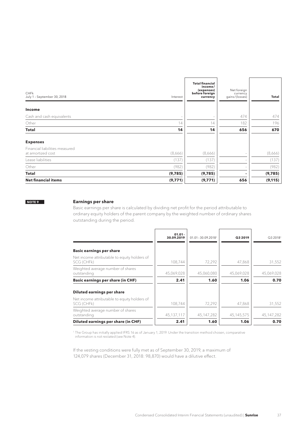<span id="page-36-0"></span>

| CHFk<br>July 1 - September 30, 2018                 | Interest                 | <b>Total financial</b><br>income/<br>(expenses)<br>before foreign<br>currency | Net foreign<br>currency<br>gains/(losses) | Total    |
|-----------------------------------------------------|--------------------------|-------------------------------------------------------------------------------|-------------------------------------------|----------|
| Income                                              |                          |                                                                               |                                           |          |
| Cash and cash equivalents                           | $\overline{\phantom{a}}$ |                                                                               | 474                                       | 474      |
| Other                                               | 14                       | 14                                                                            | 182                                       | 196      |
| <b>Total</b>                                        | 14                       | 14                                                                            | 656                                       | 670      |
| <b>Expenses</b>                                     |                          |                                                                               |                                           |          |
| Financial liabilities measured<br>at amortized cost | (8,666)                  | (8,666)                                                                       | $\overline{\phantom{a}}$                  | (8,666)  |
| Lease liabilities                                   | (137)                    | (137)                                                                         | $\sim$                                    | (137)    |
| Other                                               | (982)                    | (982)                                                                         |                                           | (982)    |
| Total                                               | (9,785)                  | (9,785)                                                                       |                                           | (9,785)  |
| <b>Net financial items</b>                          | (9,771)                  | (9,771)                                                                       | 656                                       | (9, 115) |

#### **Earnings per share**

Basic earnings per share is calculated by dividing net profit for the period attributable to ordinary equity holders of the parent company by the weighted number of ordinary shares outstanding during the period.

|                                                            | $01.01 -$<br>30.09.2019 | $01.01 - 30.09.2018$ <sup>1</sup> | Q3 2019    | Q32018 <sup>1</sup> |
|------------------------------------------------------------|-------------------------|-----------------------------------|------------|---------------------|
| <b>Basic earnings per share</b>                            |                         |                                   |            |                     |
| Net income attributable to equity holders of<br>SCG (CHFk) | 108.744                 | 72,292                            | 47,868     | 31,552              |
| Weighted average number of shares<br>outstanding           | 45,069,028              | 45,060,080                        | 45,069,028 | 45,069,028          |
| <b>Basic earnings per share (in CHF)</b>                   | 2.41                    | 1.60                              | 1.06       | 0.70                |
| Diluted earnings per share                                 |                         |                                   |            |                     |
| Net income attributable to equity holders of<br>SCG (CHFk) | 108.744                 | 72,292                            | 47,868     | 31,552              |
| Weighted average number of shares<br>outstanding           | 45,137,117              | 45, 147, 282                      | 45,145,575 | 45,147,282          |
| Diluted earnings per share (in CHF)                        | 2.41                    | 1.60                              | 1.06       | 0.70                |

1 The Group has initially applied IFRS 16 as of January 1, 2019. Under the transition method chosen, comparative information is not restated (see Note 4).

If the vesting conditions were fully met as of September 30, 2019, a maximum of 124,079 shares (December 31, 2018: 98,870) would have a dilutive effect.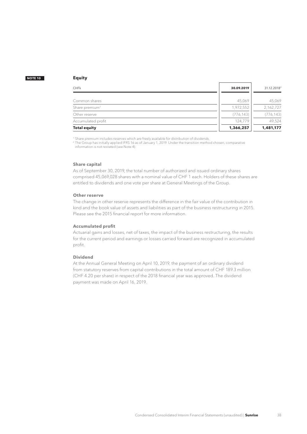#### <span id="page-37-0"></span>**Equity**

| <b>Total equity</b>        | 1,366,257  | 1,481,177               |
|----------------------------|------------|-------------------------|
| Accumulated profit         | 124.779    | 49,524                  |
| Other reserve              | (776, 143) | (776, 143)              |
| Share premium <sup>1</sup> | 1,972,552  | 2,162,727               |
| Common shares              | 45,069     | 45,069                  |
| <b>CHFK</b>                | 30.09.2019 | 31.12.2018 <sup>2</sup> |

<sup>1</sup> Share premium includes reserves which are freely available for distribution of dividends.<br><sup>2</sup> The Group has initially applied IFRS 16 as of January 1, 2019. Under the transition method chosen, comparative information is not restated (see Note 4).

#### **Share capital**

As of September 30, 2019, the total number of authorized and issued ordinary shares comprised 45,069,028 shares with a nominal value of CHF 1 each. Holders of these shares are entitled to dividends and one vote per share at General Meetings of the Group.

#### **Other reserve**

The change in other reserve represents the difference in the fair value of the contribution in kind and the book value of assets and liabilities as part of the business restructuring in 2015. Please see the 2015 financial report for more information.

#### **Accumulated profit**

Actuarial gains and losses, net of taxes, the impact of the business restructuring, the results for the current period and earnings or losses carried forward are recognized in accumulated profit.

#### **Dividend**

At the Annual General Meeting on April 10, 2019, the payment of an ordinary dividend from statutory reserves from capital contributions in the total amount of CHF 189.3 million (CHF 4.20 per share) in respect of the 2018 financial year was approved. The dividend payment was made on April 16, 2019.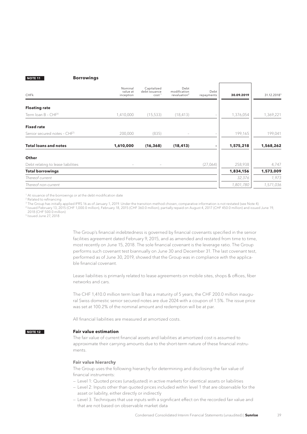**Borrowings**

<span id="page-38-0"></span>

| <b>CHFk</b>                             | Nominal<br>value at<br>inception | Capitalized<br>debt issuance<br>cost <sup>1</sup> | Debt<br>modification<br>revaluation <sup>2</sup> | Debt<br>repayments | 30.09.2019 | 31.12.2018 <sup>3</sup> |
|-----------------------------------------|----------------------------------|---------------------------------------------------|--------------------------------------------------|--------------------|------------|-------------------------|
|                                         |                                  |                                                   |                                                  |                    |            |                         |
| <b>Floating rate</b>                    |                                  |                                                   |                                                  |                    |            |                         |
| Term Ioan B - CHF <sup>4</sup>          | 1,410,000                        | (15,533)                                          | (18, 413)                                        |                    | 1,376,054  | 1,369,221               |
| <b>Fixed rate</b>                       |                                  |                                                   |                                                  |                    |            |                         |
| Senior secured notes - CHF <sup>5</sup> | 200,000                          | (835)                                             |                                                  |                    | 199,165    | 199,041                 |
| <b>Total loans and notes</b>            | 1,610,000                        | (16, 368)                                         | (18, 413)                                        |                    | 1,575,218  | 1,568,262               |
| Other                                   |                                  |                                                   |                                                  |                    |            |                         |
| Debt relating to lease liabilities      | $\overline{\phantom{0}}$         | $\overline{\phantom{a}}$                          |                                                  | (27,064)           | 258,938    | 4,747                   |
| <b>Total borrowings</b>                 |                                  |                                                   |                                                  |                    | 1,834,156  | 1,573,009               |
| Thereof current                         |                                  |                                                   |                                                  |                    | 32,376     | 1,973                   |
| Thereof non-current                     |                                  |                                                   |                                                  |                    | 1,801,780  | 1,571,036               |

<sup>1</sup> At issuance of the borrowings or at the debt modification date

2 Related to refinancing

 $^3$  The Group has initially applied IFRS 16 as of January 1, 2019. Under the transition method chosen, comparative information is not restated (see Note 4).

4 Issued February 13, 2015 (CHF 1,000.0 million), February 18, 2015 (CHF 360.0 million); partially repaid on August 4, 2017 (CHF 450.0 million) and issued June 19, 2018 (CHF 500.0 million)

5 Issued June 27, 2018

The Group's financial indebtedness is governed by financial covenants specified in the senior facilities agreement dated February 9, 2015, and as amended and restated from time to time, most recently on June 15, 2018. The sole financial covenant is the leverage ratio. The Group performs such covenant test biannually on June 30 and December 31. The last covenant test, performed as of June 30, 2019, showed that the Group was in compliance with the applicable financial covenant.

Lease liabilities is primarily related to lease agreements on mobile sites, shops & offices, fiber networks and cars.

The CHF 1,410.0 million term loan B has a maturity of 5 years, the CHF 200.0 million inaugural Swiss domestic senior secured notes are due 2024 with a coupon of 1.5%. The issue price was set at 100.2% of the nominal amount and redemption will be at par.

All financial liabilities are measured at amortized costs.

#### **Fair value estimation NOTE 12**

The fair value of current financial assets and liabilities at amortized cost is assumed to approximate their carrying amounts due to the short-term nature of these financial instruments.

#### **Fair value hierarchy**

The Group uses the following hierarchy for determining and disclosing the fair value of financial instruments:

— Level 1: Quoted prices (unadjusted) in active markets for identical assets or liabilities

- Level 2: Inputs other than quoted prices included within level 1 that are observable for the asset or liability, either directly or indirectly
- Level 3: Techniques that use inputs with a significant effect on the recorded fair value and that are not based on observable market data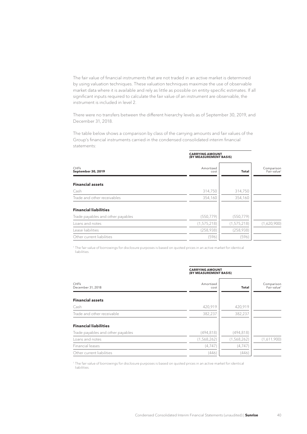The fair value of financial instruments that are not traded in an active market is determined by using valuation techniques. These valuation techniques maximize the use of observable market data where it is available and rely as little as possible on entity-specific estimates. If all significant inputs required to calculate the fair value of an instrument are observable, the instrument is included in level 2.

There were no transfers between the different hierarchy levels as of September 30, 2019, and December 31, 2018.

The table below shows a comparison by class of the carrying amounts and fair values of the Group's financial instruments carried in the condensed consolidated interim financial statements:

|                                   | <b>CARRYING AMOUNT</b><br>(BY MEASUREMENT BASIS) |               |                                       |  |  |
|-----------------------------------|--------------------------------------------------|---------------|---------------------------------------|--|--|
| <b>CHFK</b><br>September 30, 2019 | Amortized<br>cost                                | Total         | Comparison<br>Fair value <sup>1</sup> |  |  |
| <b>Financial assets</b>           |                                                  |               |                                       |  |  |
| Cash                              | 314,750                                          | 314,750       |                                       |  |  |
| Trade and other receivables       | 354,160                                          | 354,160       |                                       |  |  |
| <b>Financial liabilities</b>      |                                                  |               |                                       |  |  |
| Trade payables and other payables | (550, 779)                                       | (550, 779)    |                                       |  |  |
| Loans and notes                   | (1, 575, 218)                                    | (1, 575, 218) | (1,620,900)                           |  |  |
| Lease liabilities                 | (258,938)                                        | (258, 938)    |                                       |  |  |
| Other current liabilities         | (596)                                            | (596)         |                                       |  |  |

1 The fair value of borrowings for disclosure purposes is based on quoted prices in an active market for identical liabilities.

| CHFk<br>December 31, 2018         | <b>CARRYING AMOUNT</b><br>(BY MEASUREMENT BASIS) |             |                                       |
|-----------------------------------|--------------------------------------------------|-------------|---------------------------------------|
|                                   | Amortized<br>cost                                | Total       | Comparison<br>Fair value <sup>1</sup> |
| <b>Financial assets</b>           |                                                  |             |                                       |
| Cash                              | 420,919                                          | 420,919     |                                       |
| Trade and other receivable        | 382,237                                          | 382,237     |                                       |
| <b>Financial liabilities</b>      |                                                  |             |                                       |
| Trade payables and other payables | (494, 818)                                       | (494, 818)  |                                       |
| Loans and notes                   | (1,568,262)                                      | (1,568,262) | (1,611,900)                           |
| Financial leases                  | (4,747)                                          | (4,747)     |                                       |
| Other current liabilities         | (446)                                            | (446)       |                                       |
|                                   |                                                  |             |                                       |

1 The fair value of borrowings for disclosure purposes is based on quoted prices in an active market for identical liabilities.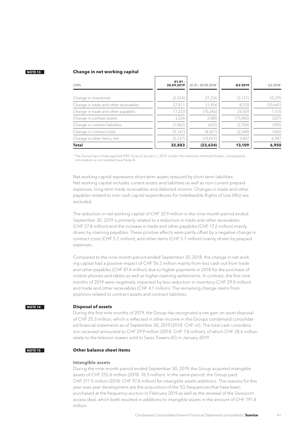#### <span id="page-40-0"></span>**Change in net working capital**

| <b>CHFK</b>                           | $01.01 -$<br>30.09.2019 | $01.01 - 30.09.2018$ <sup>1</sup> | Q3 2019   | Q32018 <sup>1</sup> |
|---------------------------------------|-------------------------|-----------------------------------|-----------|---------------------|
| Change in inventories                 | (2,524)                 | 27,236                            | (3, 121)  | 10,295              |
| Change in trade and other receivables | 27,811                  | 31,954                            | 8,270     | (10,641)            |
| Change in trade and other payables    | 17,233                  | (70, 246)                         | 25,559    | 1,510               |
| Change in contract assets             | 3,224                   | 2,880                             | (15, 842) | (227)               |
| Change in contract liabilities        | (1,963)                 | (625)                             | (2,704)   | (392)               |
| Change in contract costs              | (5, 161)                | (4,821)                           | (2,540)   | (542)               |
| Change in other items, net            | (5,737)                 | (10, 012)                         | 3,487     | 6,947               |
| <b>Total</b>                          | 32,883                  | (23, 634)                         | 13,109    | 6,950               |

1 The Group has initially applied IFRS 16 as of January 1, 2019. Under the transition method chosen, comparative information is not restated (see Note 4).

Net working capital represents short-term assets reduced by short-term liabilities. Net working capital includes current assets and liabilities as well as non-current prepaid expenses, long-term trade receivables and deferred income. Changes in trade and other payables related to non-cash capital expenditures for Indefeasible Rights of Use (IRU) are excluded.

The reduction in net working capital of CHF 32.9 million in the nine-month period ended September 30, 2019 is primarily related to a reduction in trade and other receivables (CHF 27.8 million) and the increase in trade and other payables (CHF 17.2 million) mainly driven by roaming payables. These positive effects were partly offset by a negative change in contract costs (CHF 5.2 million), and other items (CHF 5.7 million) mainly driven by prepaid expenses.

Compared to the nine-month period ended September 30, 2018, the change in net working capital had a positive impact of CHF 56.5 million mainly from less cash out from trade and other payables (CHF 87.4 million) due to higher payments in 2018 for the purchase of mobile phones and tables as well as higher roaming settlements. In contrast, the first nine months of 2019 were negatively impacted by less reduction in inventory (CHF 29.8 million) and trade and other receivables (CHF 4.1 million). The remaining change stems from positions related to contract assets and contract liabilities.

#### **Disposal of assets NOTE 14**

During the first nine months of 2019, the Group has recognized a net gain on asset disposal of CHF 25.3 million, which is reflected in other income in the Groups condensed consolidated financial statements as of September 30, 2019 (2018: CHF nil). The total cash consideration received amounted to CHF 29.9 million (2018: CHF 7.8 million), of which CHF 28.6 million relate to the telecom towers sold to Swiss Towers AG in January 2019.

#### **Other balance sheet items NOTE 15**

#### **Intangible assets**

During the nine-month period ended September 30, 2019, the Group acquired intangible assets of CHF 255.6 million (2018: 76.5 million). In the same period, the Group paid CHF 211.5 million (2018: CHF 97.8 million) for intangible assets additions. The reasons for this year-over-year development are the acquisition of the 5G frequencies that have been purchased at the frequency auction in February 2019 as well as the renewal of the Swisscom access deal, which both resulted in additions to intangible assets in the amount of CHF 191.4 million.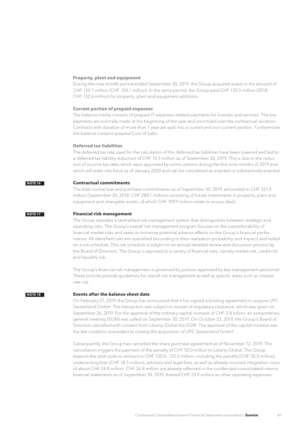#### <span id="page-41-0"></span>**Property, plant and equipment**

During the nine-month period ended September 30, 2019, the Group acquired assets in the amount of CHF 135.7 million (CHF 104.1 million). In the same period, the Group paid CHF 130.5 million (2018: CHF 132.6 million) for property, plant and equipment additions.

#### **Current portion of prepaid expenses**

The balance mainly consists of prepaid IT expenses related payments for licenses and services. The prepayments are normally made at the beginning of the year and amortized over the contractual duration. Contracts with duration of more than 1 year are split into a current and non-current portion. Furthermore the balance contains prepaid Cost of Sales.

#### **Deferred tax liabilities**

The deferred tax rate used for the calculation of the deferred tax liabilities have been lowered and led to a deferred tax liability reduction of CHF 16.5 million as of September 30, 2019. This is due to the reduction of income tax rates which were approved by some cantons during the first nine months of 2019 and which will enter into force as of January 2020 and can be considered as enacted or substantively enacted.

#### **Contractual commitments NOTE 16**

The total contractual and purchase commitments as of September 30, 2019, amounted to CHF 331.4 million (September 30, 2018: CHF 288.1 million) consisting of future investments in property, plant and equipment and intangible assets, of which CHF 109.9 million relate to access deals.

#### **Financial risk management NOTE 17**

The Group operates a centralized risk management system that distinguishes between strategic and operating risks. The Group's overall risk management program focuses on the unpredictability of financial market risks and seeks to minimize potential adverse effects on the Group's financial performance. All identified risks are quantified (according to their realization probability and impact) and noted on a risk schedule. This risk schedule is subject to an annual detailed review and discussion process by the Board of Directors. The Group is exposed to a variety of financial risks, namely market risk, credit risk and liquidity risk.

The Group's financial risk management is governed by policies approved by key management personnel. These policies provide guidelines for overall risk management as well as specific areas such as interest rate risk.

#### **NOTE 18**

#### **Events after the balance sheet date**

On February 27, 2019, the Group has announced that it has signed a binding agreement to acquire UPC Switzerland GmbH. The transaction was subject to receipt of regulatory clearance, which was given on September 26, 2019. For the approval of the ordinary capital increase of CHF 2.8 billion, an extraordinary general meeting (EGM) was called on September 30, 2019. On October 22, 2019, the Group's Board of Directors cancelled with consent from Liberty Global the EGM. The approval of the capital increase was the last condition precedent to closing the acquisition of UPC Switzerland GmbH.

Subsequently, the Group has cancelled the share purchase agreement as of November 12, 2019. The cancellation triggers the payment of the penalty of CHF 50.0 million to Liberty Global. The Group expects the total costs to amount to CHF 120.0–125.0 million, including the penalty (CHF 50.0 million), underwriting fees (CHF 18.5 million), advisory and legal fees, as well as already incurred integration costs of about CHF 24.0 million. CHF 26.8 million are already reflected in the condensed consolidated interim financial statements as of September 30, 2019, thereof CHF 23.9 million as other operating expenses.